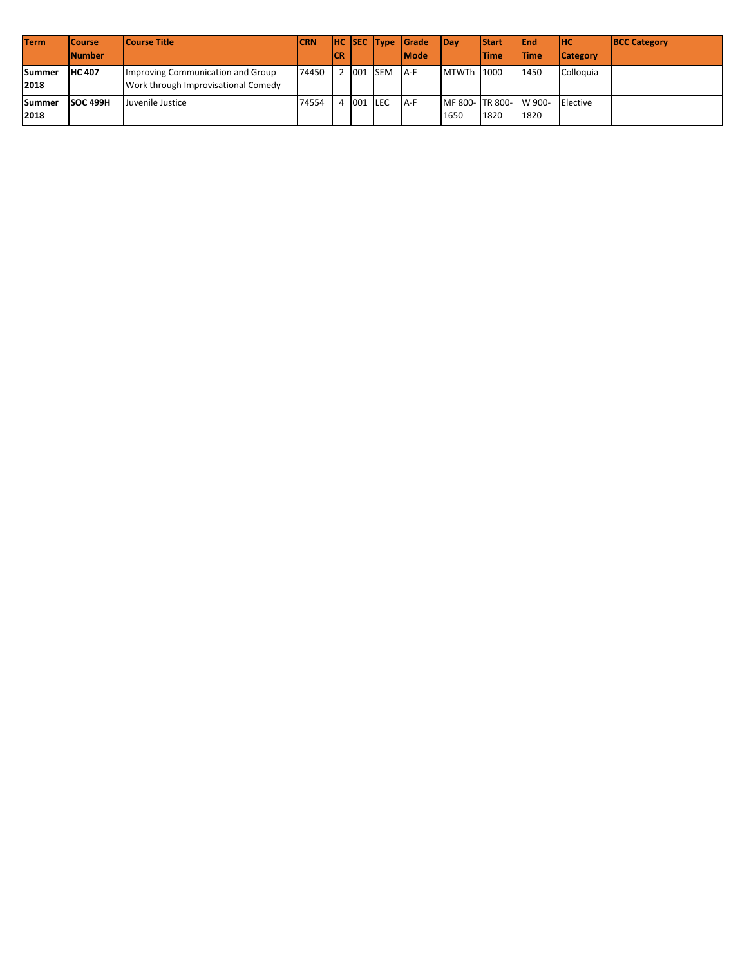| <b>Term</b>    | <b>ICourse</b>  | <b>Course Title</b>                                                      | <b>ICRN</b> |     |           |           | <b>HC SEC Type Grade</b> | <b>IDav</b>  | <b>Start</b>                 | <b>IEnd</b>  | Інс             | <b>BCC Category</b> |
|----------------|-----------------|--------------------------------------------------------------------------|-------------|-----|-----------|-----------|--------------------------|--------------|------------------------------|--------------|-----------------|---------------------|
|                | <b>INumber</b>  |                                                                          |             | ICR |           |           | lMode                    |              | <b>Time</b>                  | <b>ITime</b> | <b>Category</b> |                     |
| Summer<br>2018 | <b>IHC 407</b>  | Improving Communication and Group<br>Work through Improvisational Comedy | 74450       |     |           | 2 001 SEM | IA-F                     | <b>MTWTh</b> | 1000                         | 1450         | Colloquia       |                     |
| Summer<br>2018 | <b>SOC 499H</b> | Juvenile Justice                                                         | 74554       |     | 4 001 LEC |           | IA-F                     | 1650         | MF 800-TR 800-W 900-<br>1820 | 1820         | Elective        |                     |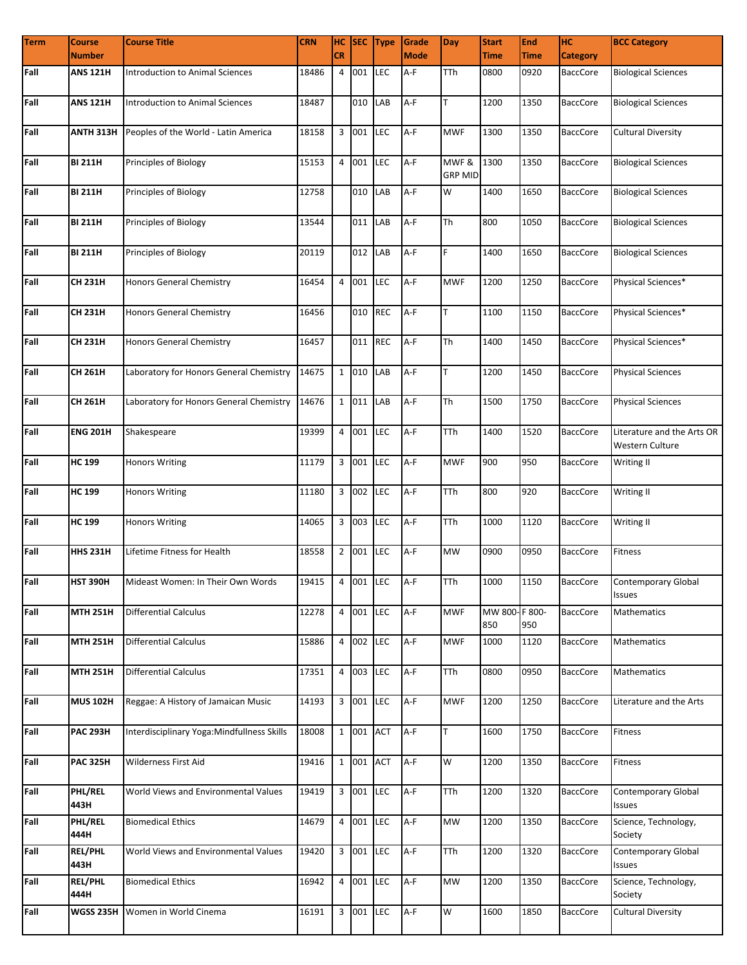| <b>Term</b> | <b>Course</b>          | <b>Course Title</b>                        | <b>CRN</b>      |           |           | HC SEC Type | Grade       | <b>Day</b>              | <b>Start</b>         | <b>End</b>  | Iнc             | <b>BCC Category</b>                           |
|-------------|------------------------|--------------------------------------------|-----------------|-----------|-----------|-------------|-------------|-------------------------|----------------------|-------------|-----------------|-----------------------------------------------|
|             | <b>Number</b>          |                                            |                 | <b>CR</b> |           |             | <b>Mode</b> |                         | <b>Time</b>          | <b>Time</b> | <b>Category</b> |                                               |
| Fall        | ANS 121H               | Introduction to Animal Sciences            | 18486           |           | 4 001     | <b>LEC</b>  | A-F         | TTh                     | 0800                 | 0920        | <b>BaccCore</b> | <b>Biological Sciences</b>                    |
| Fall        | <b>ANS 121H</b>        | Introduction to Animal Sciences            | 18487           |           | 010 LAB   |             | A-F         | T                       | 1200                 | 1350        | <b>BaccCore</b> | <b>Biological Sciences</b>                    |
| Fall        | ANTH 313H              | Peoples of the World - Latin America       | 18158           |           | 3 001     | LEC         | $A-F$       | <b>MWF</b>              | 1300                 | 1350        | <b>BaccCore</b> | <b>Cultural Diversity</b>                     |
| Fall        | <b>BI 211H</b>         | Principles of Biology                      | 15153           |           | 4 001     | LEC         | A-F         | MWF &<br><b>GRP MID</b> | 1300                 | 1350        | <b>BaccCore</b> | <b>Biological Sciences</b>                    |
| Fall        | <b>BI 211H</b>         | Principles of Biology                      | 12758           |           | 010       | LAB         | A-F         | W                       | 1400                 | 1650        | <b>BaccCore</b> | <b>Biological Sciences</b>                    |
| Fall        | <b>BI 211H</b>         | Principles of Biology                      | 13544           |           | 011       | LAB         | $A-F$       | <b>Th</b>               | 800                  | 1050        | <b>BaccCore</b> | <b>Biological Sciences</b>                    |
| Fall        | <b>BI 211H</b>         | Principles of Biology                      | 20119           |           | 012       | LAB         | A-F         | F                       | 1400                 | 1650        | <b>BaccCore</b> | <b>Biological Sciences</b>                    |
| Fall        | <b>CH 231H</b>         | Honors General Chemistry                   | 16454           |           | 4 001     | <b>LEC</b>  | $A-F$       | <b>MWF</b>              | 1200                 | 1250        | <b>BaccCore</b> | Physical Sciences*                            |
| Fall        | <b>CH 231H</b>         | Honors General Chemistry                   | 16456           |           | 010       | <b>REC</b>  | $A-F$       | T                       | 1100                 | 1150        | BaccCore        | Physical Sciences*                            |
| Fall        | <b>CH 231H</b>         | Honors General Chemistry                   | 16457           |           | 011       | <b>REC</b>  | A-F         | <b>Th</b>               | 1400                 | 1450        | <b>BaccCore</b> | Physical Sciences*                            |
| Fall        | CH 261H                | Laboratory for Honors General Chemistry    | 14675           |           | 1 010     | LAB         | A-F         | T                       | 1200                 | 1450        | <b>BaccCore</b> | <b>Physical Sciences</b>                      |
| Fall        | CH 261H                | Laboratory for Honors General Chemistry    | 14676           |           | 1 011     | LAB         | A-F         | <b>Th</b>               | 1500                 | 1750        | <b>BaccCore</b> | <b>Physical Sciences</b>                      |
| Fall        | <b>ENG 201H</b>        | Shakespeare                                | 19399           |           | 4 001     | LEC         | $A-F$       | <b>TTh</b>              | 1400                 | 1520        | <b>BaccCore</b> | Literature and the Arts OR<br>Western Culture |
| Fall        | <b>HC 199</b>          | <b>Honors Writing</b>                      | 11179           |           | 3 001     | LEC         | A-F         | <b>MWF</b>              | 900                  | 950         | <b>BaccCore</b> | Writing II                                    |
| Fall        | <b>HC 199</b>          | <b>Honors Writing</b>                      | 11180           |           | 3 002     | <b>LEC</b>  | A-F         | <b>TTh</b>              | 800                  | 920         | <b>BaccCore</b> | Writing II                                    |
| Fall        | <b>HC 199</b>          | <b>Honors Writing</b>                      | 14065           |           | 3 003     | <b>LEC</b>  | A-F         | <b>TTh</b>              | 1000                 | 1120        | <b>BaccCore</b> | Writing II                                    |
| Fall        | <b>HHS 231H</b>        | Lifetime Fitness for Health                | 18558           |           | 2 001     | <b>LEC</b>  | A-F         | <b>MW</b>               | 0900                 | 0950        | <b>BaccCore</b> | Fitness                                       |
| Fall        | <b>HST 390H</b>        | Mideast Women: In Their Own Words          | 19415 4 001 LEC |           |           |             | $A-F$       | <b>TTh</b>              | 1000                 | 1150        | BaccCore        | <b>Contemporary Global</b><br><b>Issues</b>   |
| Fall        | <b>MTH 251H</b>        | <b>Differential Calculus</b>               | 12278           |           | 4 001 LEC |             | A-F         | <b>MWF</b>              | MW 800-F 800-<br>850 | 950         | <b>BaccCore</b> | Mathematics                                   |
| Fall        | <b>MTH 251H</b>        | <b>Differential Calculus</b>               | 15886           |           | 4 002 LEC |             | A-F         | <b>MWF</b>              | 1000                 | 1120        | <b>BaccCore</b> | Mathematics                                   |
| Fall        | <b>MTH 251H</b>        | <b>Differential Calculus</b>               | 17351           |           | 4 003     | LEC         | A-F         | <b>TTh</b>              | 0800                 | 0950        | <b>BaccCore</b> | Mathematics                                   |
| Fall        | <b>MUS 102H</b>        | Reggae: A History of Jamaican Music        | 14193           |           | 3 001 LEC |             | A-F         | <b>MWF</b>              | 1200                 | 1250        | <b>BaccCore</b> | Literature and the Arts                       |
| Fall        | <b>PAC 293H</b>        | Interdisciplinary Yoga:Mindfullness Skills | 18008           |           | 1 001 ACT |             | A-F         | T                       | 1600                 | 1750        | <b>BaccCore</b> | Fitness                                       |
| Fall        | <b>PAC 325H</b>        | Wilderness First Aid                       | 19416           |           | 1 001 ACT |             | A-F         | W                       | 1200                 | 1350        | <b>BaccCore</b> | Fitness                                       |
| Fall        | PHL/REL<br>443H        | World Views and Environmental Values       | 19419           |           | 3 001     | <b>LEC</b>  | A-F         | <b>TTh</b>              | 1200                 | 1320        | <b>BaccCore</b> | Contemporary Global<br>Issues                 |
| Fall        | PHL/REL<br>444H        | <b>Biomedical Ethics</b>                   | 14679           |           | 4 001     | <b>LEC</b>  | A-F         | <b>MW</b>               | 1200                 | 1350        | <b>BaccCore</b> | Science, Technology,<br>Society               |
| Fall        | <b>REL/PHL</b><br>443H | World Views and Environmental Values       | 19420           |           | 3 001     | <b>LEC</b>  | A-F         | <b>TTh</b>              | 1200                 | 1320        | <b>BaccCore</b> | Contemporary Global<br>Issues                 |
| Fall        | <b>REL/PHL</b><br>444H | <b>Biomedical Ethics</b>                   | 16942           |           | 4 001 LEC |             | A-F         | <b>MW</b>               | 1200                 | 1350        | <b>BaccCore</b> | Science, Technology,<br>Society               |
| Fall        | <b>WGSS 235H</b>       | Women in World Cinema                      | 16191           |           | 3 001 LEC |             | A-F         | W                       | 1600                 | 1850        | BaccCore        | <b>Cultural Diversity</b>                     |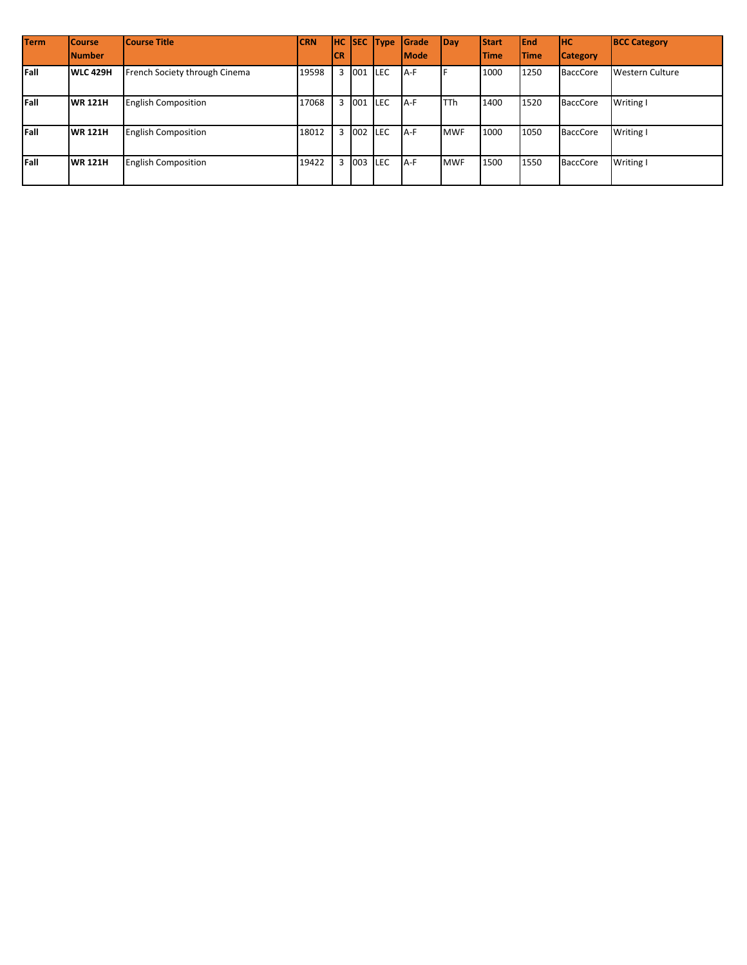| <b>Term</b> | <b>Course</b><br><b>INumber</b> | <b>Course Title</b>           | <b>CRN</b> | <b>ICR</b> |           | <b>HC SEC Type</b> | Grade<br><b>I</b> Mode | Day        | <b>Start</b><br><b>Time</b> | <b>IEnd</b><br><b>ITime</b> | Інс<br><b>Category</b> | <b>BCC Category</b>    |
|-------------|---------------------------------|-------------------------------|------------|------------|-----------|--------------------|------------------------|------------|-----------------------------|-----------------------------|------------------------|------------------------|
| Fall        | <b>WLC 429H</b>                 | French Society through Cinema | 19598      |            | 3 001     | <b>ILEC</b>        | A-F                    |            | 1000                        | 1250                        | <b>BaccCore</b>        | <b>Western Culture</b> |
| Fall        | <b>WR 121H</b>                  | <b>English Composition</b>    | 17068      |            | 3 001 LEC |                    | A-F                    | <b>TTh</b> | 1400                        | 1520                        | <b>BaccCore</b>        | Writing I              |
| Fall        | <b>WR 121H</b>                  | <b>English Composition</b>    | 18012      |            | 3 002 LEC |                    | $A-F$                  | <b>MWF</b> | 1000                        | 1050                        | <b>BaccCore</b>        | Writing I              |
| Fall        | <b>WR 121H</b>                  | <b>English Composition</b>    | 19422      |            | 3 003 LEC |                    | A-F                    | <b>MWF</b> | 1500                        | 1550                        | <b>BaccCore</b>        | Writing I              |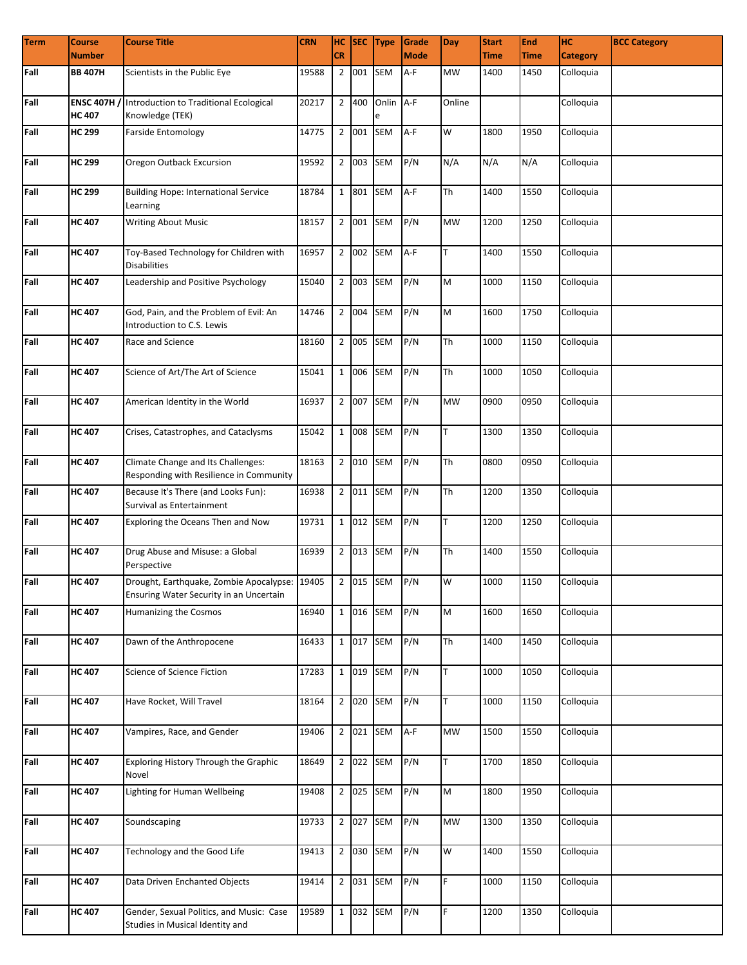| <b>Term</b> | <b>Course</b>                       | <b>Course Title</b>                                                                                      | <b>CRN</b> |                |           | HC SEC Type    | Grade       | <b>Day</b> | <b>Start</b> | End         | Iнс             | <b>BCC Category</b> |
|-------------|-------------------------------------|----------------------------------------------------------------------------------------------------------|------------|----------------|-----------|----------------|-------------|------------|--------------|-------------|-----------------|---------------------|
|             | <b>Number</b>                       |                                                                                                          |            | <b>CR</b>      |           |                | <b>Mode</b> |            | <b>Time</b>  | <b>Time</b> | <b>Category</b> |                     |
| Fall        | <b>BB 407H</b>                      | Scientists in the Public Eye                                                                             | 19588      | $\overline{2}$ | 001       | <b>SEM</b>     | A-F         | <b>MW</b>  | 1400         | 1450        | Colloquia       |                     |
| Fall        | <b>ENSC 407H /</b><br><b>HC 407</b> | Introduction to Traditional Ecological<br>Knowledge (TEK)                                                | 20217      |                | 2 400     | Onlin A-F<br>e |             | Online     |              |             | Colloquia       |                     |
| Fall        | <b>HC 299</b>                       | <b>Farside Entomology</b>                                                                                | 14775      |                | 2 001 SEM |                | A-F         | W          | 1800         | 1950        | Colloquia       |                     |
| Fall        | <b>HC 299</b>                       | Oregon Outback Excursion                                                                                 | 19592      |                | 2 003 SEM |                | P/N         | N/A        | N/A          | N/A         | Colloquia       |                     |
| Fall        | <b>HC 299</b>                       | <b>Building Hope: International Service</b><br>Learning                                                  | 18784      |                | 1 801     | SEM            | A-F         | <b>Th</b>  | 1400         | 1550        | Colloquia       |                     |
| Fall        | <b>HC 407</b>                       | <b>Writing About Music</b>                                                                               | 18157      |                | 2 001     | <b>SEM</b>     | P/N         | <b>MW</b>  | 1200         | 1250        | Colloquia       |                     |
| Fall        | <b>HC 407</b>                       | Toy-Based Technology for Children with<br><b>Disabilities</b>                                            | 16957      |                | 2 002 SEM |                | A-F         | T.         | 1400         | 1550        | Colloquia       |                     |
| Fall        | <b>HC 407</b>                       | Leadership and Positive Psychology                                                                       | 15040      |                | 2 003 SEM |                | P/N         | M          | 1000         | 1150        | Colloquia       |                     |
| Fall        | <b>HC 407</b>                       | God, Pain, and the Problem of Evil: An<br>Introduction to C.S. Lewis                                     | 14746      |                | 2 004 SEM |                | P/N         | M          | 1600         | 1750        | Colloquia       |                     |
| Fall        | <b>HC 407</b>                       | Race and Science                                                                                         | 18160      |                | 2 005 SEM |                | P/N         | <b>Th</b>  | 1000         | 1150        | Colloquia       |                     |
| Fall        | <b>HC 407</b>                       | Science of Art/The Art of Science                                                                        | 15041      |                | 1 006 SEM |                | P/N         | <b>Th</b>  | 1000         | 1050        | Colloquia       |                     |
| Fall        | <b>HC 407</b>                       | American Identity in the World                                                                           | 16937      |                | 2 007 SEM |                | P/N         | <b>MW</b>  | 0900         | 0950        | Colloquia       |                     |
| Fall        | <b>HC 407</b>                       | Crises, Catastrophes, and Cataclysms                                                                     | 15042      |                | 1 008 SEM |                | P/N         | T.         | 1300         | 1350        | Colloquia       |                     |
| Fall        | <b>HC 407</b>                       | Climate Change and Its Challenges:<br>Responding with Resilience in Community                            | 18163      |                | 2 010 SEM |                | P/N         | <b>Th</b>  | 0800         | 0950        | Colloquia       |                     |
| Fall        | <b>HC 407</b>                       | Because It's There (and Looks Fun):<br>Survival as Entertainment                                         | 16938      |                | 2 011     | <b>SEM</b>     | P/N         | <b>Th</b>  | 1200         | 1350        | Colloquia       |                     |
| Fall        | <b>HC 407</b>                       | Exploring the Oceans Then and Now                                                                        | 19731      |                | 1 012     | <b>SEM</b>     | P/N         | T.         | 1200         | 1250        | Colloquia       |                     |
| Fall        | <b>HC 407</b>                       | Drug Abuse and Misuse: a Global<br>Perspective                                                           | 16939      |                | 2 013 SEM |                | P/N         | Th         | 1400         | 1550        | Colloquia       |                     |
| Fall        | <b>HC 407</b>                       | Drought, Earthquake, Zombie Apocalypse: 19405   2 015 SEM P/N<br>Ensuring Water Security in an Uncertain |            |                |           |                |             | W          | 1000         | 1150        | Colloquia       |                     |
| Fall        | <b>HC 407</b>                       | Humanizing the Cosmos                                                                                    | 16940      |                | 1 016 SEM |                | P/N         | M          | 1600         | 1650        | Colloquia       |                     |
| Fall        | <b>HC 407</b>                       | Dawn of the Anthropocene                                                                                 | 16433      |                | 1 017 SEM |                | P/N         | <b>Th</b>  | 1400         | 1450        | Colloquia       |                     |
| Fall        | <b>HC 407</b>                       | Science of Science Fiction                                                                               | 17283      |                | 1 019 SEM |                | P/N         | T          | 1000         | 1050        | Colloquia       |                     |
| Fall        | <b>HC 407</b>                       | Have Rocket, Will Travel                                                                                 | 18164      |                | 2 020 SEM |                | P/N         | T.         | 1000         | 1150        | Colloquia       |                     |
| Fall        | <b>HC 407</b>                       | Vampires, Race, and Gender                                                                               | 19406      |                | 2 021 SEM |                | A-F         | MW         | 1500         | 1550        | Colloquia       |                     |
| Fall        | <b>HC 407</b>                       | Exploring History Through the Graphic<br>Novel                                                           | 18649      |                | 2 022 SEM |                | P/N         | T.         | 1700         | 1850        | Colloquia       |                     |
| Fall        | <b>HC 407</b>                       | Lighting for Human Wellbeing                                                                             | 19408      |                | 2 025 SEM |                | P/N         | M          | 1800         | 1950        | Colloquia       |                     |
| Fall        | <b>HC 407</b>                       | Soundscaping                                                                                             | 19733      |                | 2 027     | SEM            | P/N         | MW         | 1300         | 1350        | Colloquia       |                     |
| Fall        | <b>HC 407</b>                       | Technology and the Good Life                                                                             | 19413      |                | 2 030 SEM |                | P/N         | W          | 1400         | 1550        | Colloquia       |                     |
| Fall        | <b>HC 407</b>                       | Data Driven Enchanted Objects                                                                            | 19414      |                | 2 031 SEM |                | P/N         | F.         | 1000         | 1150        | Colloquia       |                     |
| Fall        | <b>HC 407</b>                       | Gender, Sexual Politics, and Music: Case<br>Studies in Musical Identity and                              | 19589      |                | 1 032 SEM |                | P/N         | F.         | 1200         | 1350        | Colloquia       |                     |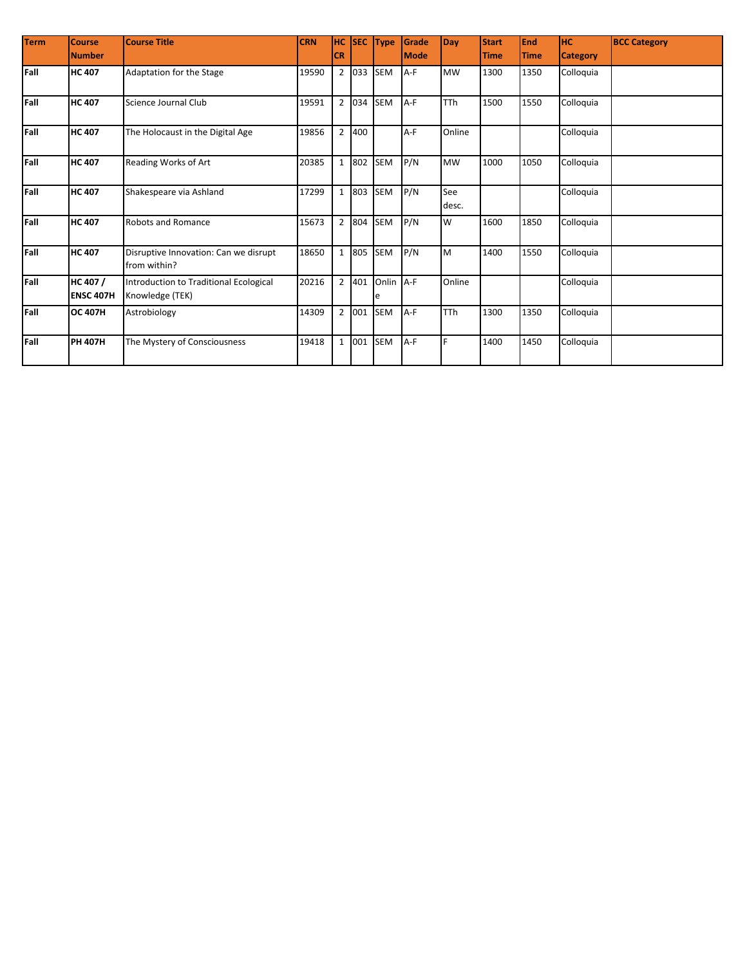| <b>Term</b> | <b>Course</b><br><b>Number</b> | <b>Course Title</b>                                       | <b>CRN</b> | <b>HC</b><br><b>CR</b> |           | SEC Type       | Grade<br><b>Mode</b> | Day          | <b>Start</b><br><b>Time</b> | <b>End</b><br><b>Time</b> | <b>HC</b><br><b>Category</b> | <b>BCC Category</b> |
|-------------|--------------------------------|-----------------------------------------------------------|------------|------------------------|-----------|----------------|----------------------|--------------|-----------------------------|---------------------------|------------------------------|---------------------|
|             |                                |                                                           |            |                        |           |                |                      |              |                             |                           |                              |                     |
| Fall        | <b>HC 407</b>                  | Adaptation for the Stage                                  | 19590      |                        | 2 033     | <b>SEM</b>     | A-F                  | <b>MW</b>    | 1300                        | 1350                      | Colloquia                    |                     |
| Fall        | <b>HC</b> 407                  | Science Journal Club                                      | 19591      |                        | 2 034     | SEM            | A-F                  | <b>TTh</b>   | 1500                        | 1550                      | Colloquia                    |                     |
| Fall        | <b>HC 407</b>                  | The Holocaust in the Digital Age                          | 19856      | $\overline{2}$         | 400       |                | A-F                  | Online       |                             |                           | Colloquia                    |                     |
| Fall        | <b>HC</b> 407                  | Reading Works of Art                                      | 20385      | $\mathbf{1}$           | 802       | <b>SEM</b>     | P/N                  | <b>MW</b>    | 1000                        | 1050                      | Colloquia                    |                     |
| Fall        | <b>HC 407</b>                  | Shakespeare via Ashland                                   | 17299      |                        | 1 803 SEM |                | P/N                  | See<br>desc. |                             |                           | Colloquia                    |                     |
| Fall        | <b>HC 407</b>                  | <b>Robots and Romance</b>                                 | 15673      |                        | 2 804     | <b>SEM</b>     | P/N                  | W            | 1600                        | 1850                      | Colloquia                    |                     |
| Fall        | <b>HC 407</b>                  | Disruptive Innovation: Can we disrupt<br>from within?     | 18650      |                        | 1 805 SEM |                | P/N                  | M            | 1400                        | 1550                      | Colloquia                    |                     |
| Fall        | HC 407 /<br><b>ENSC 407H</b>   | Introduction to Traditional Ecological<br>Knowledge (TEK) | 20216      |                        | 2 401     | Onlin A-F<br>e |                      | Online       |                             |                           | Colloquia                    |                     |
| Fall        | <b>OC 407H</b>                 | Astrobiology                                              | 14309      |                        | 2 001     | SEM            | A-F                  | <b>TTh</b>   | 1300                        | 1350                      | Colloquia                    |                     |
| Fall        | <b>PH 407H</b>                 | The Mystery of Consciousness                              | 19418      |                        | 1 001     | SEM            | A-F                  | E            | 1400                        | 1450                      | Colloquia                    |                     |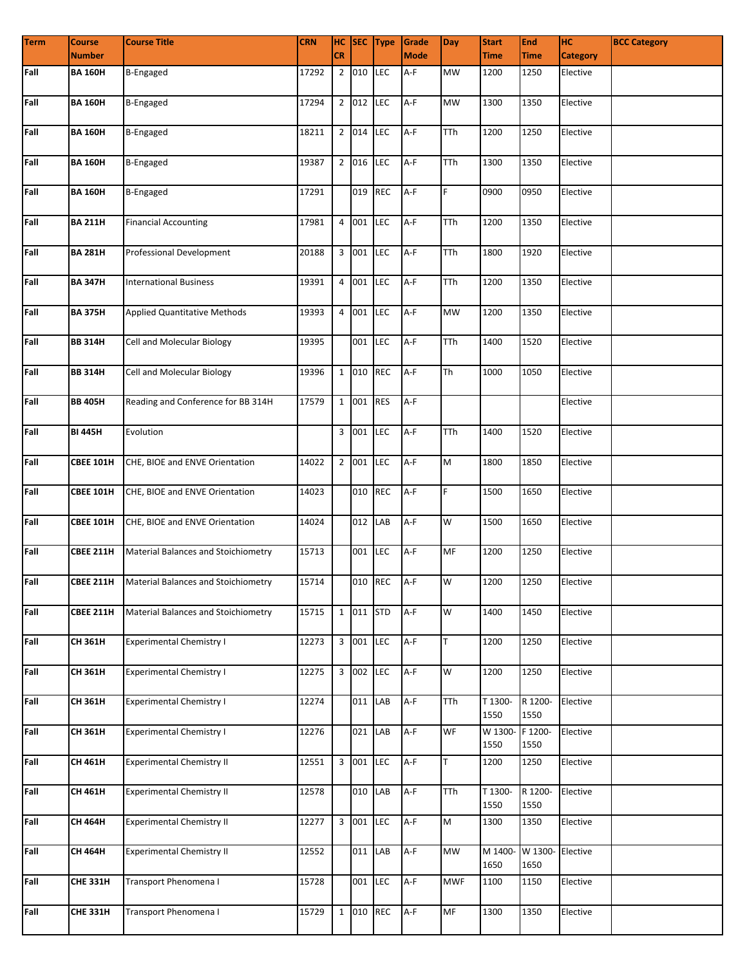| <b>Term</b> | <b>Course</b>    | <b>Course Title</b>                                  | <b>CRN</b> |           |           | HC SEC Type | Grade       | <b>Day</b> | <b>Start</b>    | <b>End</b>      | <b>HC</b>       | <b>BCC Category</b> |
|-------------|------------------|------------------------------------------------------|------------|-----------|-----------|-------------|-------------|------------|-----------------|-----------------|-----------------|---------------------|
|             | <b>Number</b>    |                                                      |            | <b>CR</b> |           |             | <b>Mode</b> |            | <b>Time</b>     | <b>Time</b>     | <b>Category</b> |                     |
| Fall        | <b>BA 160H</b>   | <b>B-Engaged</b>                                     | 17292      |           | 2 010 LEC |             | A-F         | MW         | 1200            | 1250            | Elective        |                     |
| Fall        | <b>BA 160H</b>   | <b>B-Engaged</b>                                     | 17294      |           | 2 012 LEC |             | A-F         | <b>MW</b>  | 1300            | 1350            | Elective        |                     |
| Fall        | <b>BA 160H</b>   | <b>B-Engaged</b>                                     | 18211      |           | 2 014 LEC |             | $A-F$       | TTh        | 1200            | 1250            | Elective        |                     |
| Fall        | <b>BA 160H</b>   | <b>B-Engaged</b>                                     | 19387      |           | 2 016 LEC |             | $A-F$       | <b>TTh</b> | 1300            | 1350            | Elective        |                     |
| Fall        | <b>BA 160H</b>   | <b>B-Engaged</b>                                     | 17291      |           | 019 REC   |             | A-F         | F.         | 0900            | 0950            | Elective        |                     |
| Fall        | <b>BA 211H</b>   | <b>Financial Accounting</b>                          | 17981      |           | 4 001     | <b>LEC</b>  | A-F         | TTh        | 1200            | 1350            | Elective        |                     |
| Fall        | <b>BA 281H</b>   | Professional Development                             | 20188      |           | 3 001 LEC |             | A-F         | TTh        | 1800            | 1920            | Elective        |                     |
| Fall        | <b>BA 347H</b>   | <b>International Business</b>                        | 19391      |           | 4 001 LEC |             | A-F         | TTh        | 1200            | 1350            | Elective        |                     |
| Fall        | <b>BA 375H</b>   | <b>Applied Quantitative Methods</b>                  | 19393      |           | 4 001 LEC |             | A-F         | <b>MW</b>  | 1200            | 1350            | Elective        |                     |
| Fall        | <b>BB 314H</b>   | Cell and Molecular Biology                           | 19395      |           | 001 LEC   |             | A-F         | TTh        | 1400            | 1520            | Elective        |                     |
| Fall        | <b>BB 314H</b>   | Cell and Molecular Biology                           | 19396      |           | 1 010 REC |             | A-F         | Th         | 1000            | 1050            | Elective        |                     |
| Fall        | <b>BB 405H</b>   | Reading and Conference for BB 314H                   | 17579      |           | 1 001 RES |             | A-F         |            |                 |                 | Elective        |                     |
| Fall        | <b>BI 445H</b>   | Evolution                                            |            |           | 3 001 LEC |             | A-F         | TTh        | 1400            | 1520            | Elective        |                     |
| Fall        | <b>CBEE 101H</b> | CHE, BIOE and ENVE Orientation                       | 14022      |           | 2 001 LEC |             | A-F         | M          | 1800            | 1850            | Elective        |                     |
| Fall        | <b>CBEE 101H</b> | CHE, BIOE and ENVE Orientation                       | 14023      |           | 010       | <b>REC</b>  | A-F         | F.         | 1500            | 1650            | Elective        |                     |
| Fall        | <b>CBEE 101H</b> | CHE, BIOE and ENVE Orientation                       | 14024      |           | 012 LAB   |             | $A-F$       | W          | 1500            | 1650            | Elective        |                     |
| Fall        | <b>CBEE 211H</b> | Material Balances and Stoichiometry                  | 15713      |           | 001 LEC   |             | A-F         | MF         | 1200            | 1250            | Elective        |                     |
| Fall        |                  | <b>CBEE 211H</b> Material Balances and Stoichiometry | 15714      |           |           | 010 REC A-F |             | W          | 1200            | 1250            | Elective        |                     |
| Fall        | <b>CBEE 211H</b> | Material Balances and Stoichiometry                  | 15715      |           | 1 011 STD |             | A-F         | W          | 1400            | 1450            | Elective        |                     |
| Fall        | CH 361H          | <b>Experimental Chemistry I</b>                      | 12273      |           | 3 001 LEC |             | A-F         | T          | 1200            | 1250            | Elective        |                     |
| Fall        | <b>CH 361H</b>   | <b>Experimental Chemistry I</b>                      | 12275      |           | 3 002 LEC |             | A-F         | W          | 1200            | 1250            | Elective        |                     |
| Fall        | <b>CH 361H</b>   | <b>Experimental Chemistry I</b>                      | 12274      |           | 011 LAB   |             | A-F         | TTh        | T 1300-<br>1550 | R 1200-<br>1550 | Elective        |                     |
| Fall        | CH 361H          | <b>Experimental Chemistry I</b>                      | 12276      |           | 021 LAB   |             | $A-F$       | WF         | W 1300-<br>1550 | F 1200-<br>1550 | Elective        |                     |
| Fall        | CH 461H          | <b>Experimental Chemistry II</b>                     | 12551      |           | 3 001 LEC |             | A-F         | T          | 1200            | 1250            | Elective        |                     |
| Fall        | CH 461H          | <b>Experimental Chemistry II</b>                     | 12578      |           | 010 LAB   |             | A-F         | TTh        | T 1300-<br>1550 | R 1200-<br>1550 | Elective        |                     |
| Fall        | <b>CH 464H</b>   | <b>Experimental Chemistry II</b>                     | 12277      |           | 3 001 LEC |             | $A-F$       | M          | 1300            | 1350            | Elective        |                     |
| Fall        | <b>CH 464H</b>   | <b>Experimental Chemistry II</b>                     | 12552      |           | 011 LAB   |             | A-F         | <b>MW</b>  | M 1400-<br>1650 | W 1300-<br>1650 | Elective        |                     |
| Fall        | <b>CHE 331H</b>  | Transport Phenomena I                                | 15728      |           | 001 LEC   |             | $A-F$       | <b>MWF</b> | 1100            | 1150            | Elective        |                     |
| Fall        | <b>CHE 331H</b>  | Transport Phenomena I                                | 15729      |           | 1 010 REC |             | A-F         | MF         | 1300            | 1350            | Elective        |                     |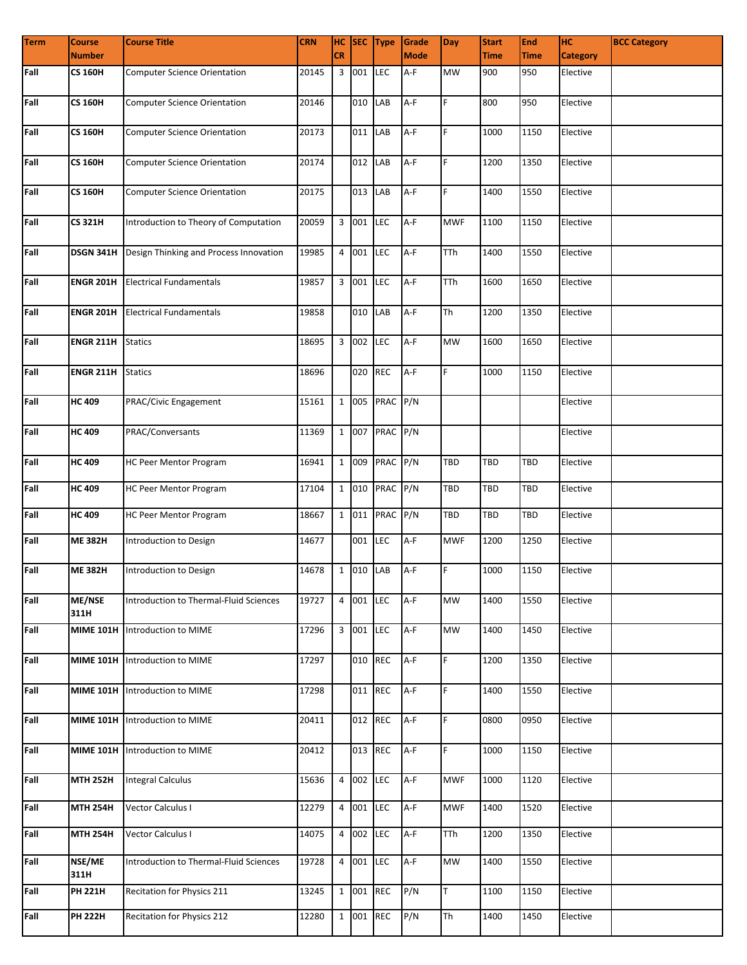| <b>Term</b> | <b>Course</b>    | <b>Course Title</b>                    | <b>CRN</b> |           |           | HC SEC Type    | Grade       | <b>Day</b> | <b>Start</b> | End         | Iнс             | <b>BCC Category</b> |
|-------------|------------------|----------------------------------------|------------|-----------|-----------|----------------|-------------|------------|--------------|-------------|-----------------|---------------------|
|             | <b>Number</b>    |                                        |            | <b>CR</b> |           |                | <b>Mode</b> |            | <b>Time</b>  | <b>Time</b> | <b>Category</b> |                     |
| Fall        | CS 160H          | <b>Computer Science Orientation</b>    | 20145      |           | 3 001     | LEC            | A-F         | MW         | 900          | 950         | Elective        |                     |
| Fall        | <b>CS 160H</b>   | <b>Computer Science Orientation</b>    | 20146      |           | 010 LAB   |                | $A-F$       | F.         | 800          | 950         | Elective        |                     |
| Fall        | <b>CS 160H</b>   | <b>Computer Science Orientation</b>    | 20173      |           | 011 LAB   |                | A-F         | F          | 1000         | 1150        | Elective        |                     |
| Fall        | <b>CS 160H</b>   | <b>Computer Science Orientation</b>    | 20174      |           | 012 LAB   |                | $A-F$       | F          | 1200         | 1350        | Elective        |                     |
| Fall        | <b>CS 160H</b>   | <b>Computer Science Orientation</b>    | 20175      |           | 013 LAB   |                | $A-F$       | F.         | 1400         | 1550        | Elective        |                     |
| Fall        | <b>CS 321H</b>   | Introduction to Theory of Computation  | 20059      |           | 3 001     | <b>LEC</b>     | A-F         | <b>MWF</b> | 1100         | 1150        | Elective        |                     |
| Fall        | DSGN 341H        | Design Thinking and Process Innovation | 19985      |           | 4 001 LEC |                | A-F         | <b>TTh</b> | 1400         | 1550        | Elective        |                     |
| Fall        | <b>ENGR 201H</b> | <b>Electrical Fundamentals</b>         | 19857      |           | 3 001 LEC |                | A-F         | <b>TTh</b> | 1600         | 1650        | Elective        |                     |
| Fall        | <b>ENGR 201H</b> | <b>Electrical Fundamentals</b>         | 19858      |           | 010 LAB   |                | A-F         | <b>Th</b>  | 1200         | 1350        | Elective        |                     |
| Fall        | <b>ENGR 211H</b> | <b>Statics</b>                         | 18695      |           | 3 002 LEC |                | A-F         | <b>MW</b>  | 1600         | 1650        | Elective        |                     |
| Fall        | <b>ENGR 211H</b> | <b>Statics</b>                         | 18696      |           | 020 REC   |                | A-F         | F.         | 1000         | 1150        | Elective        |                     |
| Fall        | <b>HC 409</b>    | PRAC/Civic Engagement                  | 15161      |           |           | 1 005 PRAC P/N |             |            |              |             | Elective        |                     |
| Fall        | <b>HC 409</b>    | PRAC/Conversants                       | 11369      |           |           | 1 007 PRAC P/N |             |            |              |             | Elective        |                     |
| Fall        | <b>HC 409</b>    | HC Peer Mentor Program                 | 16941      |           | 1 009     | PRAC P/N       |             | <b>TBD</b> | TBD          | TBD         | Elective        |                     |
| Fall        | <b>HC 409</b>    | HC Peer Mentor Program                 | 17104      |           |           | 1 010 PRAC P/N |             | TBD        | TBD          | <b>TBD</b>  | Elective        |                     |
| Fall        | <b>HC 409</b>    | HC Peer Mentor Program                 | 18667      |           | 1 011     | PRAC P/N       |             | TBD        | TBD          | <b>TBD</b>  | Elective        |                     |
| Fall        | <b>ME 382H</b>   | Introduction to Design                 | 14677      |           | 001       | <b>LEC</b>     | A-F         | <b>MWF</b> | 1200         | 1250        | Elective        |                     |
| Fall        | <b>ME 382H</b>   | Introduction to Design                 | 14678      |           | 1 010 LAB |                | A-F         | F.         | 1000         | 1150        | Elective        |                     |
| Fall        | ME/NSE<br>311H   | Introduction to Thermal-Fluid Sciences | 19727      |           | 4 001 LEC |                | A-F         | <b>MW</b>  | 1400         | 1550        | Elective        |                     |
| Fall        | <b>MIME 101H</b> | Introduction to MIME                   | 17296      |           | 3 001 LEC |                | A-F         | <b>MW</b>  | 1400         | 1450        | Elective        |                     |
| Fall        | <b>MIME 101H</b> | Introduction to MIME                   | 17297      |           | 010 REC   |                | A-F         | F          | 1200         | 1350        | Elective        |                     |
| Fall        | <b>MIME 101H</b> | Introduction to MIME                   | 17298      |           | 011 REC   |                | A-F         | F.         | 1400         | 1550        | Elective        |                     |
| Fall        | <b>MIME 101H</b> | Introduction to MIME                   | 20411      |           | 012 REC   |                | A-F         | F.         | 0800         | 0950        | Elective        |                     |
| Fall        | <b>MIME 101H</b> | Introduction to MIME                   | 20412      |           | 013 REC   |                | A-F         | F.         | 1000         | 1150        | Elective        |                     |
| Fall        | <b>MTH 252H</b>  | <b>Integral Calculus</b>               | 15636      |           | 4 002 LEC |                | $A-F$       | <b>MWF</b> | 1000         | 1120        | Elective        |                     |
| Fall        | <b>MTH 254H</b>  | Vector Calculus I                      | 12279      |           | 4 001     | LEC            | A-F         | <b>MWF</b> | 1400         | 1520        | Elective        |                     |
| Fall        | <b>MTH 254H</b>  | Vector Calculus I                      | 14075      |           | 4 002 LEC |                | A-F         | TTh        | 1200         | 1350        | Elective        |                     |
| Fall        | NSE/ME<br>311H   | Introduction to Thermal-Fluid Sciences | 19728      |           | 4 001 LEC |                | A-F         | <b>MW</b>  | 1400         | 1550        | Elective        |                     |
| Fall        | <b>PH 221H</b>   | Recitation for Physics 211             | 13245      |           | 1 001 REC |                | P/N         | T.         | 1100         | 1150        | Elective        |                     |
| Fall        | <b>PH 222H</b>   | Recitation for Physics 212             | 12280      |           | 1 001     | <b>REC</b>     | P/N         | Th         | 1400         | 1450        | Elective        |                     |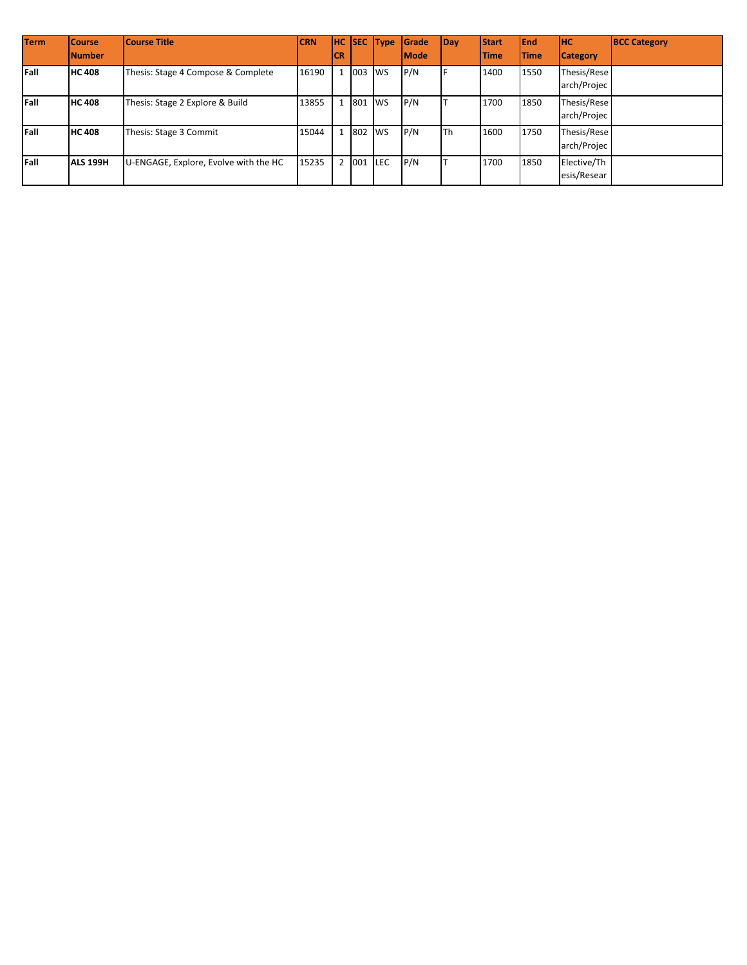| <b>Term</b> | <b>Course</b>   | Course Title                          | <b>CRN</b> |     |          | <b>HC SEC Type</b> | Grade       | Day | <b>Start</b> | <b>IEnd</b>  | <b>IHC</b>                 | <b>BCC Category</b> |
|-------------|-----------------|---------------------------------------|------------|-----|----------|--------------------|-------------|-----|--------------|--------------|----------------------------|---------------------|
|             | <b>Number</b>   |                                       |            | ICR |          |                    | <b>Mode</b> |     | <b>Time</b>  | <b>ITime</b> | <b>Category</b>            |                     |
| Fall        | <b>HC 408</b>   | Thesis: Stage 4 Compose & Complete    | 16190      |     | 1 003    | <b>WS</b>          | P/N         |     | 1400         | 1550         | Thesis/Rese<br>arch/Projec |                     |
| Fall        | <b>HC 408</b>   | Thesis: Stage 2 Explore & Build       | 13855      |     | 1 801    | <b>WS</b>          | P/N         |     | 1700         | 1850         | Thesis/Rese<br>arch/Projec |                     |
| Fall        | <b>HC 408</b>   | Thesis: Stage 3 Commit                | 15044      |     | 1 802 WS |                    | P/N         | lTh | 1600         | 1750         | Thesis/Rese<br>arch/Projec |                     |
| Fall        | <b>ALS 199H</b> | U-ENGAGE, Explore, Evolve with the HC | 15235      |     | 2 001    | <b>ILEC</b>        | P/N         |     | 1700         | 1850         | Elective/Th<br>esis/Resear |                     |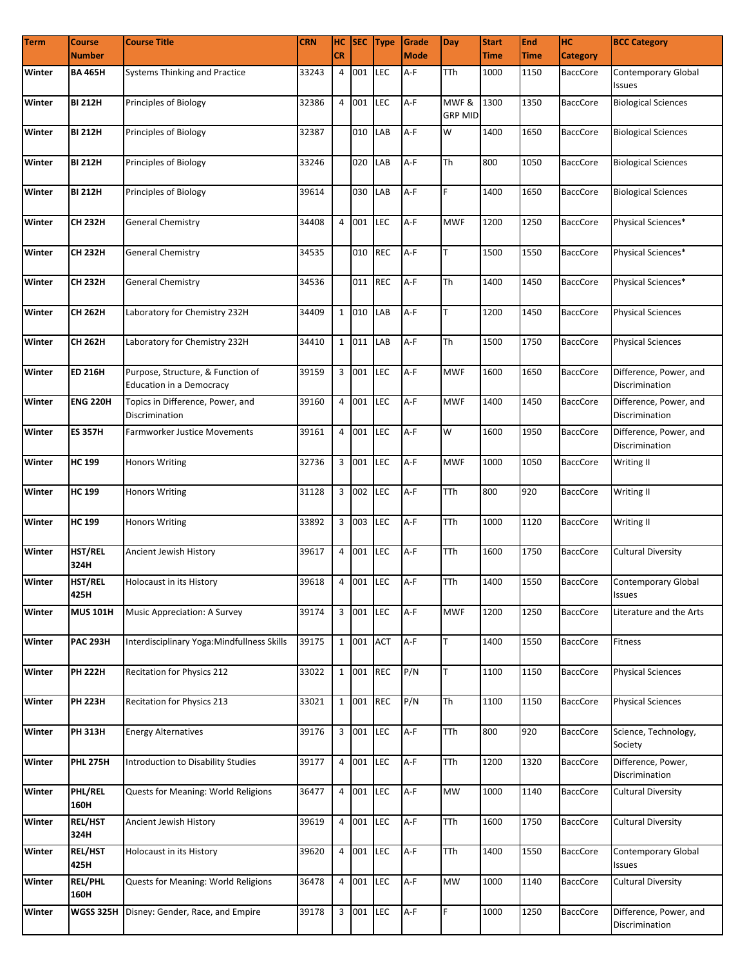| <b>Term</b> | <b>Course</b>          | <b>Course Title</b>                                                  | <b>CRN</b>      |                |           | HC SEC Type | Grade       | <b>Day</b>              | <b>Start</b> | <b>End</b>  | Iнc             | <b>BCC Category</b>                      |
|-------------|------------------------|----------------------------------------------------------------------|-----------------|----------------|-----------|-------------|-------------|-------------------------|--------------|-------------|-----------------|------------------------------------------|
|             | <b>Number</b>          |                                                                      |                 | <b>CR</b>      |           |             | <b>Mode</b> |                         | <b>Time</b>  | <b>Time</b> | <b>Category</b> |                                          |
| Winter      | <b>BA 465H</b>         | Systems Thinking and Practice                                        | 33243           | 4              | 001       | <b>LEC</b>  | A-F         | TTh                     | 1000         | 1150        | <b>BaccCore</b> | Contemporary Global<br>Issues            |
| Winter      | <b>BI 212H</b>         | Principles of Biology                                                | 32386           |                | 4 001     | LEC         | A-F         | MWF &<br><b>GRP MID</b> | 1300         | 1350        | <b>BaccCore</b> | <b>Biological Sciences</b>               |
| Winter      | <b>BI 212H</b>         | Principles of Biology                                                | 32387           |                | 010 LAB   |             | A-F         | W                       | 1400         | 1650        | <b>BaccCore</b> | <b>Biological Sciences</b>               |
| Winter      | <b>BI 212H</b>         | Principles of Biology                                                | 33246           |                | 020 LAB   |             | A-F         | Th                      | 800          | 1050        | <b>BaccCore</b> | <b>Biological Sciences</b>               |
| Winter      | <b>BI 212H</b>         | Principles of Biology                                                | 39614           |                | 030       | LAB         | A-F         | F                       | 1400         | 1650        | <b>BaccCore</b> | <b>Biological Sciences</b>               |
| Winter      | <b>CH 232H</b>         | <b>General Chemistry</b>                                             | 34408           |                | 4 001     | <b>LEC</b>  | $A-F$       | <b>MWF</b>              | 1200         | 1250        | <b>BaccCore</b> | Physical Sciences*                       |
| Winter      | <b>CH 232H</b>         | <b>General Chemistry</b>                                             | 34535           |                | 010       | <b>REC</b>  | A-F         | T                       | 1500         | 1550        | <b>BaccCore</b> | Physical Sciences*                       |
| Winter      | <b>CH 232H</b>         | <b>General Chemistry</b>                                             | 34536           |                | 011       | <b>REC</b>  | A-F         | <b>Th</b>               | 1400         | 1450        | <b>BaccCore</b> | Physical Sciences*                       |
| Winter      | <b>CH 262H</b>         | Laboratory for Chemistry 232H                                        | 34409           |                | 1 010     | LAB         | A-F         | T                       | 1200         | 1450        | <b>BaccCore</b> | <b>Physical Sciences</b>                 |
| Winter      | CH 262H                | Laboratory for Chemistry 232H                                        | 34410           | $\mathbf{1}$   | 011       | LAB         | $A-F$       | Th                      | 1500         | 1750        | <b>BaccCore</b> | <b>Physical Sciences</b>                 |
| Winter      | <b>ED 216H</b>         | Purpose, Structure, & Function of<br><b>Education in a Democracy</b> | 39159           |                | 3 001     | LEC         | A-F         | <b>MWF</b>              | 1600         | 1650        | <b>BaccCore</b> | Difference, Power, and<br>Discrimination |
| Winter      | <b>ENG 220H</b>        | Topics in Difference, Power, and<br>Discrimination                   | 39160           |                | 4 001     | <b>LEC</b>  | A-F         | <b>MWF</b>              | 1400         | 1450        | <b>BaccCore</b> | Difference, Power, and<br>Discrimination |
| Winter      | <b>ES 357H</b>         | Farmworker Justice Movements                                         | 39161           | $\overline{4}$ | 001       | LEC         | $A-F$       | W                       | 1600         | 1950        | <b>BaccCore</b> | Difference, Power, and<br>Discrimination |
| Winter      | <b>HC 199</b>          | <b>Honors Writing</b>                                                | 32736           |                | 3 001     | LEC         | A-F         | <b>MWF</b>              | 1000         | 1050        | <b>BaccCore</b> | Writing II                               |
| Winter      | <b>HC 199</b>          | <b>Honors Writing</b>                                                | 31128           |                | 3 002     | <b>LEC</b>  | A-F         | <b>TTh</b>              | 800          | 920         | <b>BaccCore</b> | Writing II                               |
| Winter      | <b>HC 199</b>          | <b>Honors Writing</b>                                                | 33892           |                | 3 003     | <b>LEC</b>  | A-F         | <b>TTh</b>              | 1000         | 1120        | <b>BaccCore</b> | Writing II                               |
| Winter      | HST/REL<br>324H        | Ancient Jewish History                                               | 39617           |                | 4 001     | <b>LEC</b>  | A-F         | <b>TTh</b>              | 1600         | 1750        | <b>BaccCore</b> | <b>Cultural Diversity</b>                |
| Winter      | HST/REL<br>425H        | Holocaust in its History                                             | 39618 4 001 LEC |                |           |             | $A-F$       | <b>TTh</b>              | 1400         | 1550        | BaccCore        | Contemporary Global<br>Issues            |
| Winter      | <b>MUS 101H</b>        | <b>Music Appreciation: A Survey</b>                                  | 39174           |                | 3 001 LEC |             | A-F         | <b>MWF</b>              | 1200         | 1250        | <b>BaccCore</b> | Literature and the Arts                  |
| Winter      | <b>PAC 293H</b>        | Interdisciplinary Yoga:Mindfullness Skills                           | 39175           |                | 1 001     | <b>ACT</b>  | A-F         | T                       | 1400         | 1550        | <b>BaccCore</b> | Fitness                                  |
| Winter      | <b>PH 222H</b>         | Recitation for Physics 212                                           | 33022           |                | 1 001     | <b>REC</b>  | P/N         | T                       | 1100         | 1150        | <b>BaccCore</b> | <b>Physical Sciences</b>                 |
| Winter      | <b>PH 223H</b>         | Recitation for Physics 213                                           | 33021           |                | 1 001     | <b>REC</b>  | P/N         | Th                      | 1100         | 1150        | <b>BaccCore</b> | <b>Physical Sciences</b>                 |
| Winter      | <b>PH 313H</b>         | <b>Energy Alternatives</b>                                           | 39176           |                | 3 001 LEC |             | A-F         | <b>TTh</b>              | 800          | 920         | <b>BaccCore</b> | Science, Technology,<br>Society          |
| Winter      | <b>PHL 275H</b>        | Introduction to Disability Studies                                   | 39177           | 4              | 001 LEC   |             | A-F         | TTh                     | 1200         | 1320        | <b>BaccCore</b> | Difference, Power,<br>Discrimination     |
| Winter      | PHL/REL<br>160H        | Quests for Meaning: World Religions                                  | 36477           |                | 4 001     | <b>LEC</b>  | A-F         | <b>MW</b>               | 1000         | 1140        | <b>BaccCore</b> | Cultural Diversity                       |
| Winter      | REL/HST<br>324H        | Ancient Jewish History                                               | 39619           |                | 4 001     | <b>LEC</b>  | A-F         | <b>TTh</b>              | 1600         | 1750        | <b>BaccCore</b> | <b>Cultural Diversity</b>                |
| Winter      | REL/HST<br>425H        | Holocaust in its History                                             | 39620           |                | 4 001     | <b>LEC</b>  | A-F         | <b>TTh</b>              | 1400         | 1550        | <b>BaccCore</b> | Contemporary Global<br>Issues            |
| Winter      | <b>REL/PHL</b><br>160H | Quests for Meaning: World Religions                                  | 36478           |                | 4 001     | LEC         | A-F         | <b>MW</b>               | 1000         | 1140        | <b>BaccCore</b> | <b>Cultural Diversity</b>                |
| Winter      | <b>WGSS 325H</b>       | Disney: Gender, Race, and Empire                                     | 39178           |                | 3 001 LEC |             | A-F         | F                       | 1000         | 1250        | BaccCore        | Difference, Power, and<br>Discrimination |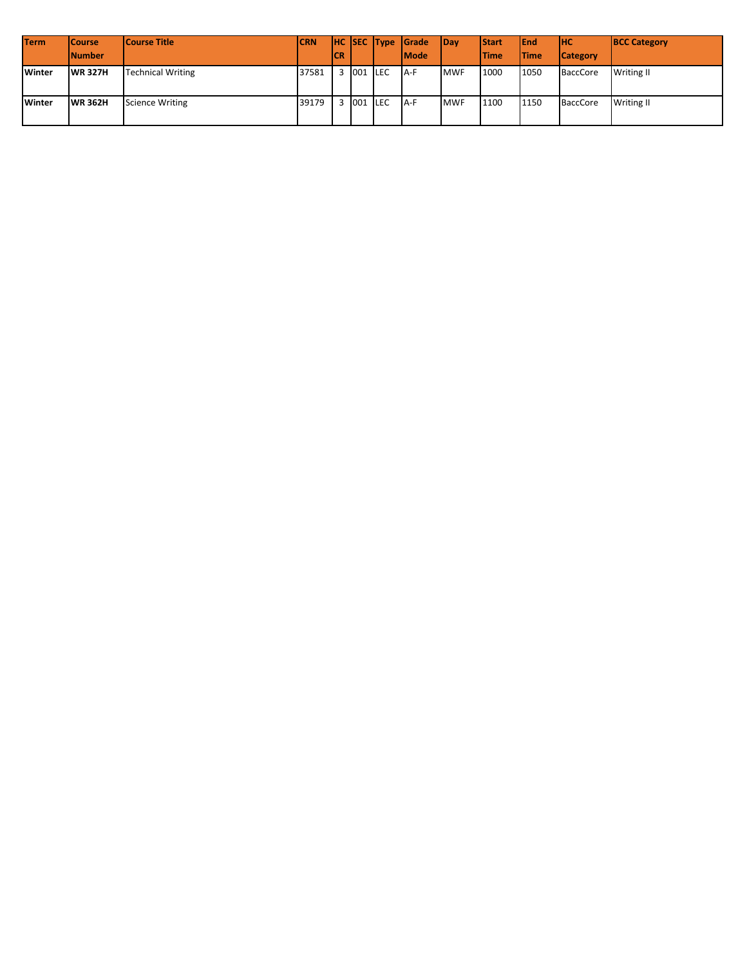| <b>Term</b> | <b>Course</b>  | <b>Course Title</b>      | <b>CRN</b> |     |         | HC SEC Type Grade | <b>IDav</b> | <b>Start</b> | <b>IEnd</b>  | Інс             | <b>BCC Category</b> |
|-------------|----------------|--------------------------|------------|-----|---------|-------------------|-------------|--------------|--------------|-----------------|---------------------|
|             | <b>Number</b>  |                          |            | ICR |         | <b>Mode</b>       |             | <b>Time</b>  | <b>ITime</b> | <b>Category</b> |                     |
| Winter      | <b>WR 327H</b> | <b>Technical Writing</b> | 37581      |     | 001 LEC | IA-F              | <b>MWF</b>  | 1000         | 1050         | <b>BaccCore</b> | <b>Writing II</b>   |
| Winter      | <b>WR 362H</b> | <b>Science Writing</b>   | 39179      |     | 001 LEC | $A-F$             | <b>MWF</b>  | 1100         | 1150         | <b>BaccCore</b> | <b>Writing II</b>   |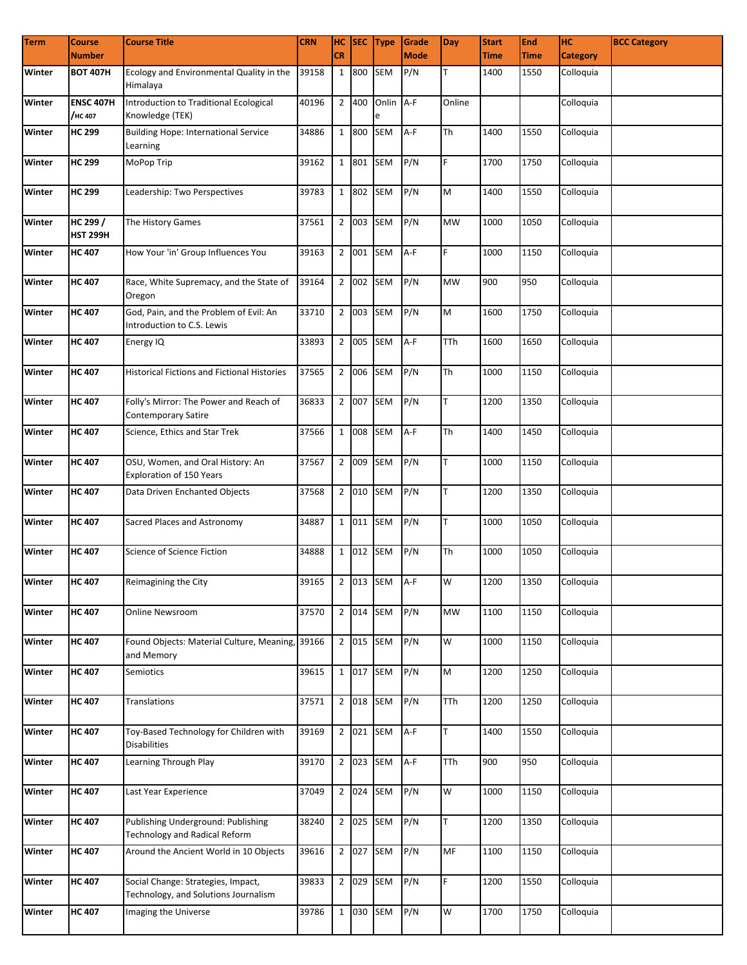| <b>Term</b> | <b>Course</b>               | <b>Course Title</b>                                                        | <b>CRN</b>          |              |           | HC SEC Type    | Grade       | <b>Day</b> | <b>Start</b> | End         | Iнс             | <b>BCC Category</b> |
|-------------|-----------------------------|----------------------------------------------------------------------------|---------------------|--------------|-----------|----------------|-------------|------------|--------------|-------------|-----------------|---------------------|
|             | <b>Number</b>               |                                                                            |                     | <b>CR</b>    |           |                | <b>Mode</b> |            | <b>Time</b>  | <b>Time</b> | <b>Category</b> |                     |
| Winter      | <b>BOT 407H</b>             | Ecology and Environmental Quality in the<br>Himalaya                       | 39158               | $\mathbf{1}$ | 800       | <b>SEM</b>     | P/N         |            | 1400         | 1550        | Colloquia       |                     |
| Winter      | <b>ENSC 407H</b><br>/нс 407 | Introduction to Traditional Ecological<br>Knowledge (TEK)                  | 40196               |              | 2 400     | Onlin A-F<br>e |             | Online     |              |             | Colloquia       |                     |
| Winter      | <b>HC 299</b>               | <b>Building Hope: International Service</b><br>Learning                    | 34886               |              | 1 800     | <b>SEM</b>     | A-F         | <b>Th</b>  | 1400         | 1550        | Colloquia       |                     |
| Winter      | <b>HC 299</b>               | MoPop Trip                                                                 | 39162               |              | 1 801 SEM |                | P/N         | F.         | 1700         | 1750        | Colloquia       |                     |
| Winter      | <b>HC 299</b>               | Leadership: Two Perspectives                                               | 39783               |              | 1 802     | <b>SEM</b>     | P/N         | M          | 1400         | 1550        | Colloquia       |                     |
| Winter      | HC 299 /<br><b>HST 299H</b> | The History Games                                                          | 37561               |              | 2 003     | SEM            | P/N         | <b>MW</b>  | 1000         | 1050        | Colloquia       |                     |
| Winter      | <b>HC 407</b>               | How Your 'in' Group Influences You                                         | 39163               |              | 2 001     | SEM            | $A-F$       | F.         | 1000         | 1150        | Colloquia       |                     |
| Winter      | <b>HC 407</b>               | Race, White Supremacy, and the State of<br>Oregon                          | 39164               |              | 2 002 SEM |                | P/N         | <b>MW</b>  | 900          | 950         | Colloquia       |                     |
| Winter      | <b>HC 407</b>               | God, Pain, and the Problem of Evil: An<br>Introduction to C.S. Lewis       | 33710               |              | 2 003 SEM |                | P/N         | M          | 1600         | 1750        | Colloquia       |                     |
| Winter      | <b>HC 407</b>               | Energy IQ                                                                  | 33893               |              | 2 005 SEM |                | A-F         | TTh        | 1600         | 1650        | Colloquia       |                     |
| Winter      | <b>HC 407</b>               | <b>Historical Fictions and Fictional Histories</b>                         | 37565               |              | 2 006 SEM |                | P/N         | <b>Th</b>  | 1000         | 1150        | Colloquia       |                     |
| Winter      | <b>HC 407</b>               | Folly's Mirror: The Power and Reach of<br><b>Contemporary Satire</b>       | 36833               |              | 2 007 SEM |                | P/N         | T.         | 1200         | 1350        | Colloquia       |                     |
| Winter      | <b>HC 407</b>               | Science, Ethics and Star Trek                                              | 37566               |              | 1 008 SEM |                | A-F         | Th         | 1400         | 1450        | Colloquia       |                     |
| Winter      | <b>HC 407</b>               | OSU, Women, and Oral History: An<br>Exploration of 150 Years               | 37567               |              | 2 009     | <b>SEM</b>     | P/N         | T.         | 1000         | 1150        | Colloquia       |                     |
| Winter      | <b>HC 407</b>               | Data Driven Enchanted Objects                                              | 37568               |              | 2 010     | <b>SEM</b>     | P/N         | T          | 1200         | 1350        | Colloquia       |                     |
| Winter      | <b>HC 407</b>               | Sacred Places and Astronomy                                                | 34887               |              | 1 011     | SEM            | P/N         | T          | 1000         | 1050        | Colloquia       |                     |
| Winter      | <b>HC 407</b>               | Science of Science Fiction                                                 | 34888               |              | 1 012 SEM |                | P/N         | Th         | 1000         | 1050        | Colloquia       |                     |
| Winter      | <b>HC 407</b>               | Reimagining the City                                                       | 39165 2 013 SEM A-F |              |           |                |             | W          | 1200         | 1350        | Colloquia       |                     |
| Winter      | <b>HC 407</b>               | <b>Online Newsroom</b>                                                     | 37570               |              | 2 014 SEM |                | P/N         | <b>MW</b>  | 1100         | 1150        | Colloquia       |                     |
| Winter      | <b>HC 407</b>               | Found Objects: Material Culture, Meaning, 39166<br>and Memory              |                     |              | 2 015 SEM |                | P/N         | W          | 1000         | 1150        | Colloquia       |                     |
| Winter      | <b>HC 407</b>               | Semiotics                                                                  | 39615               |              | 1 017 SEM |                | P/N         | M          | 1200         | 1250        | Colloquia       |                     |
| Winter      | <b>HC 407</b>               | Translations                                                               | 37571               |              | 2 018 SEM |                | P/N         | TTh        | 1200         | 1250        | Colloquia       |                     |
| Winter      | <b>HC 407</b>               | Toy-Based Technology for Children with<br><b>Disabilities</b>              | 39169               |              | 2 021 SEM |                | A-F         | T.         | 1400         | 1550        | Colloquia       |                     |
| Winter      | <b>HC 407</b>               | Learning Through Play                                                      | 39170               |              | 2 023 SEM |                | A-F         | TTh        | 900          | 950         | Colloquia       |                     |
| Winter      | <b>HC 407</b>               | Last Year Experience                                                       | 37049               |              | 2 0 2 4   | <b>SEM</b>     | P/N         | W          | 1000         | 1150        | Colloquia       |                     |
| Winter      | <b>HC 407</b>               | Publishing Underground: Publishing<br><b>Technology and Radical Reform</b> | 38240               |              | 2 025     | <b>SEM</b>     | P/N         | T.         | 1200         | 1350        | Colloquia       |                     |
| Winter      | <b>HC 407</b>               | Around the Ancient World in 10 Objects                                     | 39616               |              | 2 027     | <b>SEM</b>     | P/N         | MF         | 1100         | 1150        | Colloquia       |                     |
| Winter      | <b>HC 407</b>               | Social Change: Strategies, Impact,<br>Technology, and Solutions Journalism | 39833               |              | 2 029 SEM |                | P/N         | F.         | 1200         | 1550        | Colloquia       |                     |
| Winter      | <b>HC 407</b>               | Imaging the Universe                                                       | 39786               |              | 1 030 SEM |                | P/N         | W          | 1700         | 1750        | Colloquia       |                     |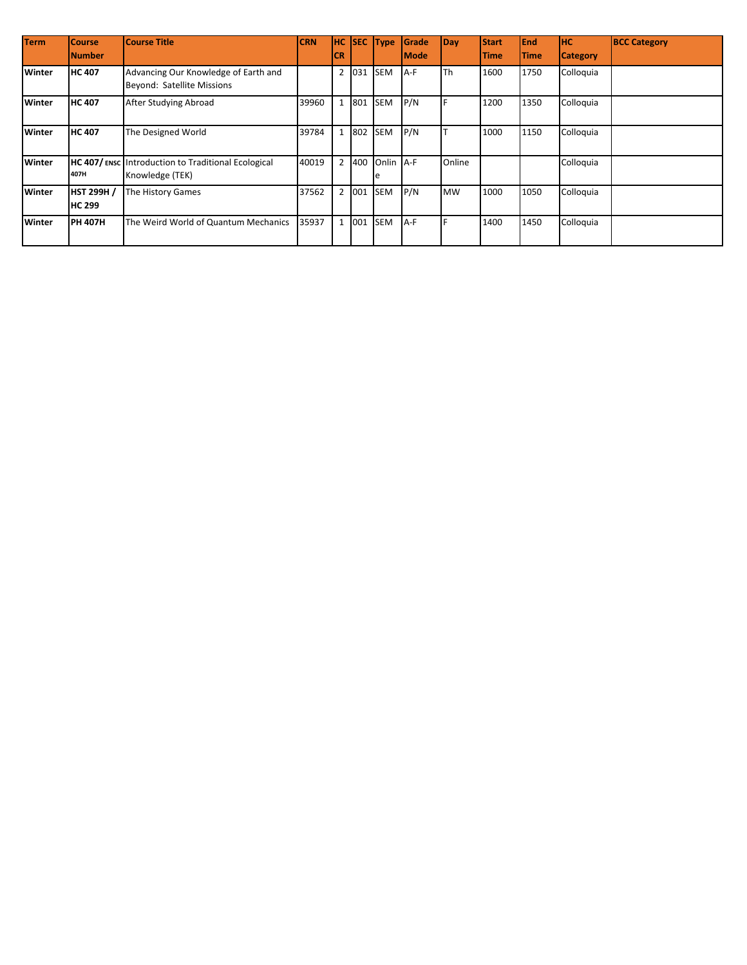| <b>Term</b> | <b>Course</b>                      | <b>Course Title</b>                                                   | <b>CRN</b> | Інс            |     | SEC Type        | Grade       | Day       | <b>Start</b> | <b>End</b>  | <b>HC</b>       | <b>BCC Category</b> |
|-------------|------------------------------------|-----------------------------------------------------------------------|------------|----------------|-----|-----------------|-------------|-----------|--------------|-------------|-----------------|---------------------|
|             | <b>Number</b>                      |                                                                       |            | <b>CR</b>      |     |                 | <b>Mode</b> |           | <b>Time</b>  | <b>Time</b> | <b>Category</b> |                     |
| Winter      | <b>HC 407</b>                      | Advancing Our Knowledge of Earth and<br>Beyond: Satellite Missions    |            | $\overline{2}$ | 031 | <b>SEM</b>      | A-F         | Th        | 1600         | 1750        | Colloquia       |                     |
| Winter      | <b>HC 407</b>                      | After Studying Abroad                                                 | 39960      |                | 801 | <b>SEM</b>      | P/N         |           | 1200         | 1350        | Colloquia       |                     |
| Winter      | <b>HC 407</b>                      | The Designed World                                                    | 39784      |                | 802 | <b>SEM</b>      | P/N         |           | 1000         | 1150        | Colloquia       |                     |
| Winter      | 407H                               | HC 407/ENSC Introduction to Traditional Ecological<br>Knowledge (TEK) | 40019      | 2              | 400 | Onlin A-F<br>1e |             | Online    |              |             | Colloquia       |                     |
| Winter      | <b>HST 299H /</b><br><b>HC 299</b> | The History Games                                                     | 37562      | $\overline{2}$ | 001 | <b>SEM</b>      | P/N         | <b>MW</b> | 1000         | 1050        | Colloquia       |                     |
| Winter      | <b>PH 407H</b>                     | The Weird World of Quantum Mechanics                                  | 35937      |                | 001 | <b>SEM</b>      | A-F         |           | 1400         | 1450        | Colloquia       |                     |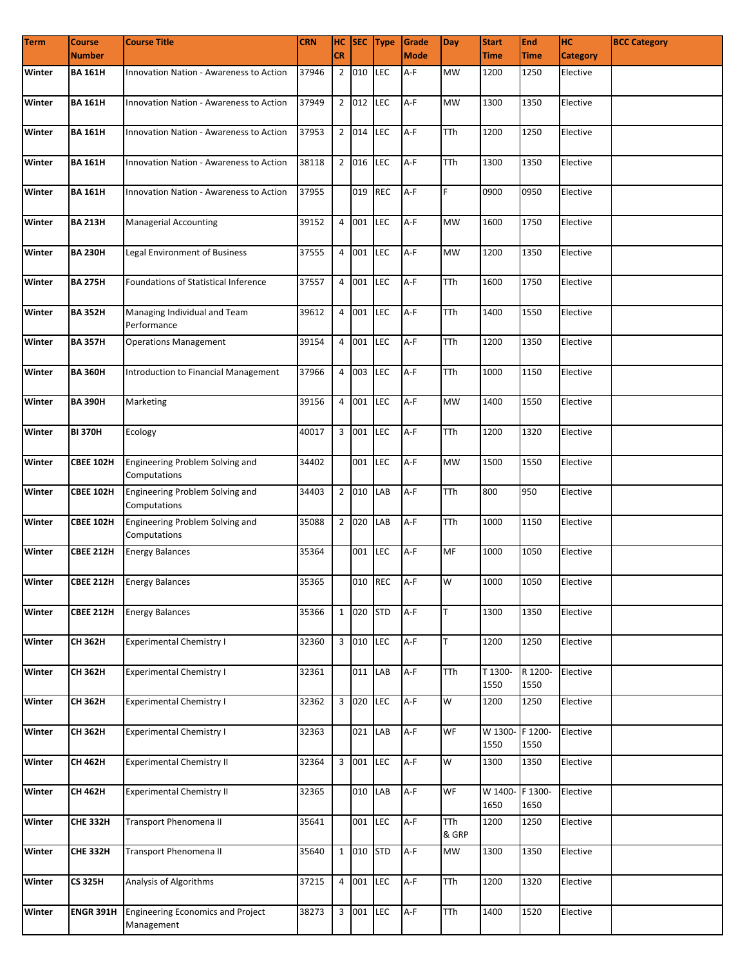| <b>Term</b> | <b>Course</b>    | <b>Course Title</b>                                    | <b>CRN</b> |           |           | HC SEC Type | Grade       | <b>Day</b>          | <b>Start</b>            | <b>End</b>      | Iнc             | <b>BCC Category</b> |
|-------------|------------------|--------------------------------------------------------|------------|-----------|-----------|-------------|-------------|---------------------|-------------------------|-----------------|-----------------|---------------------|
|             | <b>Number</b>    |                                                        |            | <b>CR</b> |           |             | <b>Mode</b> |                     | <b>Time</b>             | <b>Time</b>     | <b>Category</b> |                     |
| Winter      | <b>BA 161H</b>   | Innovation Nation - Awareness to Action                | 37946      |           | 2 010     | <b>LEC</b>  | A-F         | <b>MW</b>           | 1200                    | 1250            | Elective        |                     |
| Winter      | <b>BA 161H</b>   | Innovation Nation - Awareness to Action                | 37949      |           | 2 012 LEC |             | A-F         | <b>MW</b>           | 1300                    | 1350            | Elective        |                     |
| Winter      | <b>BA 161H</b>   | Innovation Nation - Awareness to Action                | 37953      |           | 2 014 LEC |             | A-F         | TTh                 | 1200                    | 1250            | Elective        |                     |
| Winter      | <b>BA 161H</b>   | Innovation Nation - Awareness to Action                | 38118      |           | 2 016 LEC |             | A-F         | <b>TTh</b>          | 1300                    | 1350            | Elective        |                     |
| Winter      | <b>BA 161H</b>   | <b>Innovation Nation - Awareness to Action</b>         | 37955      |           | 019 REC   |             | $A-F$       | F                   | 0900                    | 0950            | Elective        |                     |
| Winter      | <b>BA 213H</b>   | <b>Managerial Accounting</b>                           | 39152      |           | 4 001     | <b>LEC</b>  | A-F         | <b>MW</b>           | 1600                    | 1750            | Elective        |                     |
| Winter      | <b>BA 230H</b>   | Legal Environment of Business                          | 37555      |           | 4 001     | LEC         | A-F         | <b>MW</b>           | 1200                    | 1350            | Elective        |                     |
| Winter      | <b>BA 275H</b>   | <b>Foundations of Statistical Inference</b>            | 37557      |           | 4 001     | LEC         | A-F         | <b>TTh</b>          | 1600                    | 1750            | Elective        |                     |
| Winter      | <b>BA 352H</b>   | Managing Individual and Team<br>Performance            | 39612      |           | 4 001 LEC |             | $A-F$       | <b>TTh</b>          | 1400                    | 1550            | Elective        |                     |
| Winter      | <b>BA 357H</b>   | <b>Operations Management</b>                           | 39154      |           | 4 001     | LEC         | $A-F$       | <b>TTh</b>          | 1200                    | 1350            | Elective        |                     |
| Winter      | <b>BA 360H</b>   | Introduction to Financial Management                   | 37966      |           | 4 003     | LEC         | $A-F$       | <b>TTh</b>          | 1000                    | 1150            | Elective        |                     |
| Winter      | <b>BA 390H</b>   | Marketing                                              | 39156      |           | 4 001     | LEC         | A-F         | <b>MW</b>           | 1400                    | 1550            | Elective        |                     |
| Winter      | <b>BI 370H</b>   | Ecology                                                | 40017      |           | 3 001     | LEC         | A-F         | <b>TTh</b>          | 1200                    | 1320            | Elective        |                     |
| Winter      | <b>CBEE 102H</b> | Engineering Problem Solving and<br>Computations        | 34402      |           | 001       | LEC         | A-F         | <b>MW</b>           | 1500                    | 1550            | Elective        |                     |
| Winter      | <b>CBEE 102H</b> | Engineering Problem Solving and<br>Computations        | 34403      |           | 2 010     | LAB         | $A-F$       | <b>TTh</b>          | 800                     | 950             | Elective        |                     |
| Winter      | <b>CBEE 102H</b> | Engineering Problem Solving and<br>Computations        | 35088      |           | 2 020     | LAB         | A-F         | <b>TTh</b>          | 1000                    | 1150            | Elective        |                     |
| Winter      | <b>CBEE 212H</b> | <b>Energy Balances</b>                                 | 35364      |           | 001       | LEC         | $A-F$       | MF                  | 1000                    | 1050            | Elective        |                     |
| Winter      |                  | <b>CBEE 212H</b> Energy Balances                       | 35365      |           |           | 010 REC A-F |             | W                   | 1000                    | 1050            | Elective        |                     |
| Winter      | <b>CBEE 212H</b> | <b>Energy Balances</b>                                 | 35366      |           | 1 020 STD |             | $A-F$       | T.                  | 1300                    | 1350            | Elective        |                     |
| Winter      | <b>CH 362H</b>   | <b>Experimental Chemistry I</b>                        | 32360      |           | 3 010 LEC |             | A-F         | T.                  | 1200                    | 1250            | Elective        |                     |
| Winter      | <b>CH 362H</b>   | <b>Experimental Chemistry I</b>                        | 32361      |           | 011 LAB   |             | $A-F$       | TTh                 | T 1300-<br>1550         | R 1200-<br>1550 | Elective        |                     |
| Winter      | <b>CH 362H</b>   | <b>Experimental Chemistry I</b>                        | 32362      |           | 3 020     | LEC         | $A-F$       | W                   | 1200                    | 1250            | Elective        |                     |
| Winter      | CH 362H          | <b>Experimental Chemistry I</b>                        | 32363      |           | 021 LAB   |             | $A-F$       | WF                  | W 1300- F 1200-<br>1550 | 1550            | Elective        |                     |
| Winter      | <b>CH 462H</b>   | <b>Experimental Chemistry II</b>                       | 32364      |           | 3 001 LEC |             | $A-F$       | W                   | 1300                    | 1350            | Elective        |                     |
| Winter      | CH 462H          | <b>Experimental Chemistry II</b>                       | 32365      |           | 010 LAB   |             | $A-F$       | WF                  | W 1400- F 1300-<br>1650 | 1650            | Elective        |                     |
| Winter      | <b>CHE 332H</b>  | Transport Phenomena II                                 | 35641      |           | 001       | LEC         | A-F         | <b>TTh</b><br>& GRP | 1200                    | 1250            | Elective        |                     |
| Winter      | <b>CHE 332H</b>  | Transport Phenomena II                                 | 35640      |           | 1 010     | <b>STD</b>  | $A-F$       | <b>MW</b>           | 1300                    | 1350            | Elective        |                     |
| Winter      | <b>CS 325H</b>   | Analysis of Algorithms                                 | 37215      |           | 4 001     | LEC         | $A-F$       | <b>TTh</b>          | 1200                    | 1320            | Elective        |                     |
| Winter      | ENGR 391H        | <b>Engineering Economics and Project</b><br>Management | 38273      |           | 3 001 LEC |             | $A-F$       | <b>TTh</b>          | 1400                    | 1520            | Elective        |                     |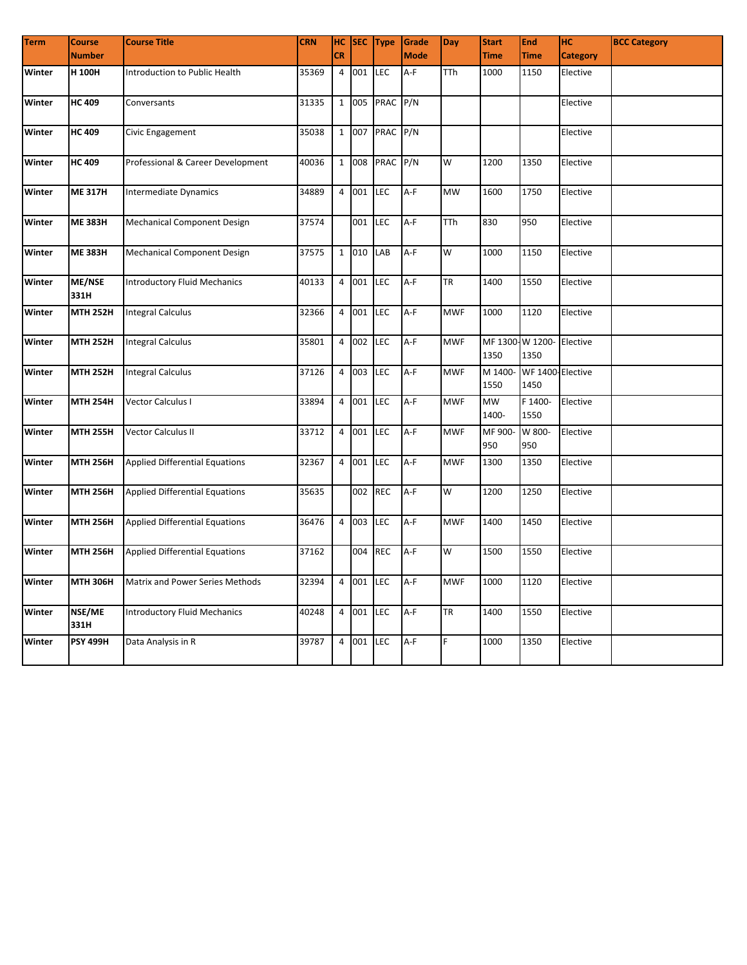| <b>Term</b> | <b>Course</b>         | <b>Course Title</b>                   | <b>CRN</b> | HC.            |         | SEC Type   | Grade       | Day        | <b>Start</b>            | <b>End</b>               | <b>HC</b>       | <b>BCC Category</b> |
|-------------|-----------------------|---------------------------------------|------------|----------------|---------|------------|-------------|------------|-------------------------|--------------------------|-----------------|---------------------|
|             | <b>Number</b>         |                                       |            | <b>CR</b>      |         |            | <b>Mode</b> |            | <b>Time</b>             | <b>Time</b>              | <b>Category</b> |                     |
| Winter      | H 100H                | Introduction to Public Health         | 35369      |                | 4 001   | <b>LEC</b> | A-F         | <b>TTh</b> | 1000                    | 1150                     | Elective        |                     |
| Winter      | <b>HC 409</b>         | Conversants                           | 31335      |                | 1 005   | PRAC P/N   |             |            |                         |                          | Elective        |                     |
| Winter      | <b>HC 409</b>         | Civic Engagement                      | 35038      |                | 1 007   | PRAC       | P/N         |            |                         |                          | Elective        |                     |
| Winter      | <b>HC 409</b>         | Professional & Career Development     | 40036      |                | 1 008   | PRAC       | P/N         | W          | 1200                    | 1350                     | Elective        |                     |
| Winter      | <b>ME 317H</b>        | Intermediate Dynamics                 | 34889      |                | 4 001   | LEC        | A-F         | <b>MW</b>  | 1600                    | 1750                     | Elective        |                     |
| Winter      | <b>ME 383H</b>        | Mechanical Component Design           | 37574      |                | 001     | <b>LEC</b> | A-F         | TTh        | 830                     | 950                      | Elective        |                     |
| Winter      | <b>ME 383H</b>        | <b>Mechanical Component Design</b>    | 37575      |                | 1 010   | LAB        | A-F         | W          | 1000                    | 1150                     | Elective        |                     |
| Winter      | <b>ME/NSE</b><br>331H | <b>Introductory Fluid Mechanics</b>   | 40133      | $\overline{4}$ | 001     | LEC        | A-F         | <b>TR</b>  | 1400                    | 1550                     | Elective        |                     |
| Winter      | <b>MTH 252H</b>       | <b>Integral Calculus</b>              | 32366      | $\overline{4}$ | 001     | <b>LEC</b> | $A-F$       | <b>MWF</b> | 1000                    | 1120                     | Elective        |                     |
| Winter      | <b>MTH 252H</b>       | <b>Integral Calculus</b>              | 35801      | $\overline{4}$ | 002     | <b>LEC</b> | A-F         | <b>MWF</b> | MF 1300-W 1200-<br>1350 | 1350                     | Elective        |                     |
| Winter      | <b>MTH 252H</b>       | <b>Integral Calculus</b>              | 37126      | $\overline{4}$ | 003     | LEC        | A-F         | <b>MWF</b> | M 1400-<br>1550         | WF 1400-Elective<br>1450 |                 |                     |
| Winter      | <b>MTH 254H</b>       | Vector Calculus I                     | 33894      |                | 4 001   | LEC        | A-F         | <b>MWF</b> | MW<br>1400-             | F 1400-<br>1550          | Elective        |                     |
| Winter      | <b>MTH 255H</b>       | Vector Calculus II                    | 33712      |                | 4 001   | <b>LEC</b> | A-F         | <b>MWF</b> | MF 900-<br>950          | W 800-<br>950            | Elective        |                     |
| Winter      | <b>MTH 256H</b>       | <b>Applied Differential Equations</b> | 32367      |                | 4 001   | LEC        | A-F         | <b>MWF</b> | 1300                    | 1350                     | Elective        |                     |
| Winter      | <b>MTH 256H</b>       | <b>Applied Differential Equations</b> | 35635      |                | 002 REC |            | A-F         | W          | 1200                    | 1250                     | Elective        |                     |
| Winter      | <b>MTH 256H</b>       | <b>Applied Differential Equations</b> | 36476      |                | 4 003   | <b>LEC</b> | A-F         | <b>MWF</b> | 1400                    | 1450                     | Elective        |                     |
| Winter      | <b>MTH 256H</b>       | <b>Applied Differential Equations</b> | 37162      |                | 004     | <b>REC</b> | A-F         | W          | 1500                    | 1550                     | Elective        |                     |
| Winter      | <b>MTH 306H</b>       | Matrix and Power Series Methods       | 32394      | $\overline{4}$ | 001     | <b>LEC</b> | A-F         | <b>MWF</b> | 1000                    | 1120                     | Elective        |                     |
| Winter      | NSE/ME<br>331H        | <b>Introductory Fluid Mechanics</b>   | 40248      | $\overline{4}$ | 001     | <b>LEC</b> | A-F         | <b>TR</b>  | 1400                    | 1550                     | Elective        |                     |
| Winter      | <b>PSY 499H</b>       | Data Analysis in R                    | 39787      | $\overline{4}$ | 001     | <b>LEC</b> | A-F         | F.         | 1000                    | 1350                     | Elective        |                     |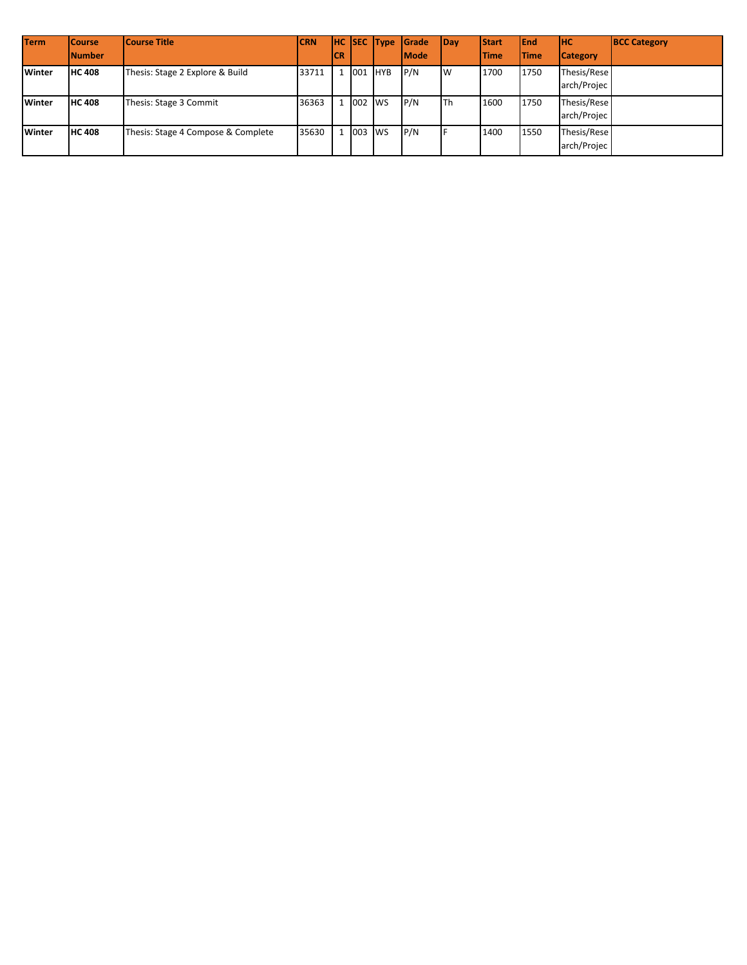| <b>Term</b>   | <b>Course</b> | <b>Course Title</b>                | <b>CRN</b> |     |          | <b>HC SEC Type</b> | <b>I</b> Grade | <b>Day</b> | <b>Start</b> | <b>IEnd</b>  | Інс                        | <b>BCC Category</b> |
|---------------|---------------|------------------------------------|------------|-----|----------|--------------------|----------------|------------|--------------|--------------|----------------------------|---------------------|
|               | <b>Number</b> |                                    |            | ICR |          |                    | <b>Mode</b>    |            | <b>Time</b>  | <b>ITime</b> | <b>Category</b>            |                     |
| <b>Winter</b> | <b>HC 408</b> | Thesis: Stage 2 Explore & Build    | 33711      |     | . 1001   | <b>HYB</b>         | P/N            | Iw         | 1700         | 1750         | Thesis/Rese<br>arch/Projec |                     |
| <b>Winter</b> | <b>HC 408</b> | Thesis: Stage 3 Commit             | 36363      |     | 1 002 WS |                    | P/N            | lTh        | 1600         | 1750         | Thesis/Rese<br>arch/Projec |                     |
| Winter        | <b>HC 408</b> | Thesis: Stage 4 Compose & Complete | 35630      |     | 1 003 WS |                    | P/N            |            | 1400         | 1550         | Thesis/Rese<br>arch/Projec |                     |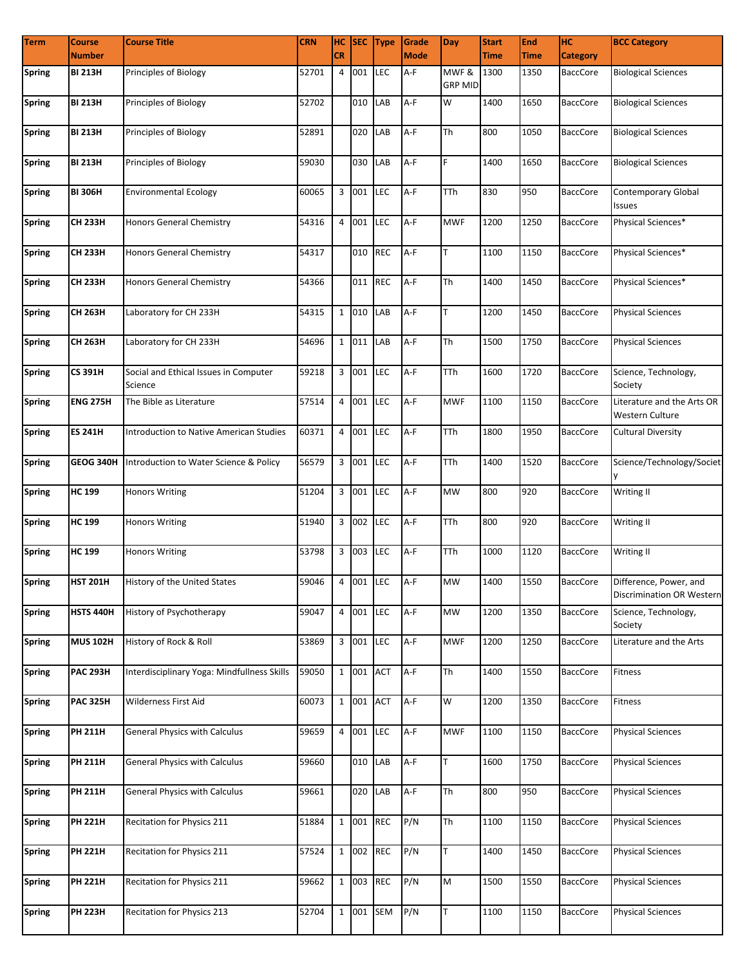| <b>Term</b>   | <b>Course</b>    | <b>Course Title</b>                              | <b>CRN</b>      |                |           | HC SEC Type | Grade       | <b>Day</b>              | <b>Start</b> | <b>End</b>  | Iнc             | <b>BCC Category</b>                                 |
|---------------|------------------|--------------------------------------------------|-----------------|----------------|-----------|-------------|-------------|-------------------------|--------------|-------------|-----------------|-----------------------------------------------------|
|               | <b>Number</b>    |                                                  |                 | <b>CR</b>      |           |             | <b>Mode</b> |                         | <b>Time</b>  | <b>Time</b> | <b>Category</b> |                                                     |
| Spring        | <b>BI 213H</b>   | Principles of Biology                            | 52701           | 4              | 001       | <b>LEC</b>  | A-F         | MWF &<br><b>GRP MID</b> | 1300         | 1350        | <b>BaccCore</b> | <b>Biological Sciences</b>                          |
| <b>Spring</b> | <b>BI 213H</b>   | <b>Principles of Biology</b>                     | 52702           |                | 010 LAB   |             | A-F         | W                       | 1400         | 1650        | <b>BaccCore</b> | <b>Biological Sciences</b>                          |
| <b>Spring</b> | <b>BI 213H</b>   | Principles of Biology                            | 52891           |                | 020 LAB   |             | $A-F$       | Th                      | 800          | 1050        | <b>BaccCore</b> | <b>Biological Sciences</b>                          |
| <b>Spring</b> | <b>BI 213H</b>   | Principles of Biology                            | 59030           |                | 030 LAB   |             | $A-F$       | F                       | 1400         | 1650        | <b>BaccCore</b> | <b>Biological Sciences</b>                          |
| <b>Spring</b> | <b>BI 306H</b>   | <b>Environmental Ecology</b>                     | 60065           |                | 3 001     | <b>LEC</b>  | A-F         | <b>TTh</b>              | 830          | 950         | <b>BaccCore</b> | <b>Contemporary Global</b><br>Issues                |
| <b>Spring</b> | <b>CH 233H</b>   | <b>Honors General Chemistry</b>                  | 54316           |                | 4 001     | <b>LEC</b>  | $A-F$       | <b>MWF</b>              | 1200         | 1250        | <b>BaccCore</b> | Physical Sciences*                                  |
| <b>Spring</b> | <b>CH 233H</b>   | Honors General Chemistry                         | 54317           |                | 010       | <b>REC</b>  | A-F         | T                       | 1100         | 1150        | <b>BaccCore</b> | Physical Sciences*                                  |
| <b>Spring</b> | <b>CH 233H</b>   | Honors General Chemistry                         | 54366           |                | 011       | <b>REC</b>  | $A-F$       | <b>Th</b>               | 1400         | 1450        | <b>BaccCore</b> | Physical Sciences*                                  |
| <b>Spring</b> | <b>CH 263H</b>   | Laboratory for CH 233H                           | 54315           |                | 1 010     | LAB         | A-F         | T                       | 1200         | 1450        | BaccCore        | <b>Physical Sciences</b>                            |
| <b>Spring</b> | CH 263H          | Laboratory for CH 233H                           | 54696           | $\mathbf{1}$   | 011       | LAB         | $A-F$       | Th                      | 1500         | 1750        | <b>BaccCore</b> | <b>Physical Sciences</b>                            |
| <b>Spring</b> | CS 391H          | Social and Ethical Issues in Computer<br>Science | 59218           |                | 3 001     | LEC         | A-F         | <b>TTh</b>              | 1600         | 1720        | <b>BaccCore</b> | Science, Technology,<br>Society                     |
| <b>Spring</b> | <b>ENG 275H</b>  | The Bible as Literature                          | 57514           | 4              | 001       | <b>LEC</b>  | A-F         | <b>MWF</b>              | 1100         | 1150        | <b>BaccCore</b> | Literature and the Arts OR<br>Western Culture       |
| <b>Spring</b> | <b>ES 241H</b>   | Introduction to Native American Studies          | 60371           | $\overline{4}$ | 001       | <b>LEC</b>  | $A-F$       | <b>TTh</b>              | 1800         | 1950        | <b>BaccCore</b> | <b>Cultural Diversity</b>                           |
| <b>Spring</b> | GEOG 340H        | Introduction to Water Science & Policy           | 56579           |                | 3 001     | LEC         | $A-F$       | <b>TTh</b>              | 1400         | 1520        | <b>BaccCore</b> | Science/Technology/Societ<br>y                      |
| <b>Spring</b> | <b>HC 199</b>    | <b>Honors Writing</b>                            | 51204           |                | 3 001     | <b>LEC</b>  | A-F         | <b>MW</b>               | 800          | 920         | <b>BaccCore</b> | Writing II                                          |
| <b>Spring</b> | <b>HC 199</b>    | <b>Honors Writing</b>                            | 51940           |                | 3 002     | <b>LEC</b>  | $A-F$       | <b>TTh</b>              | 800          | 920         | <b>BaccCore</b> | Writing II                                          |
| <b>Spring</b> | <b>HC 199</b>    | <b>Honors Writing</b>                            | 53798           |                | 3 003     | <b>LEC</b>  | A-F         | <b>TTh</b>              | 1000         | 1120        | <b>BaccCore</b> | Writing II                                          |
| <b>Spring</b> | <b>HST 201H</b>  | History of the United States                     | 59046 4 001 LEC |                |           |             | A-F         | <b>MW</b>               | 1400         | 1550        | BaccCore        | Difference, Power, and<br>Discrimination OR Western |
| <b>Spring</b> | <b>HSTS 440H</b> | History of Psychotherapy                         | 59047           |                | 4 001 LEC |             | A-F         | <b>MW</b>               | 1200         | 1350        | <b>BaccCore</b> | Science, Technology,<br>Society                     |
| <b>Spring</b> | <b>MUS 102H</b>  | History of Rock & Roll                           | 53869           |                | 3 001     | LEC         | A-F         | <b>MWF</b>              | 1200         | 1250        | <b>BaccCore</b> | Literature and the Arts                             |
| <b>Spring</b> | <b>PAC 293H</b>  | Interdisciplinary Yoga: Mindfullness Skills      | 59050           |                | 1 001 ACT |             | A-F         | Th                      | 1400         | 1550        | <b>BaccCore</b> | Fitness                                             |
| <b>Spring</b> | <b>PAC 325H</b>  | Wilderness First Aid                             | 60073           |                | 1 001 ACT |             | A-F         | W                       | 1200         | 1350        | <b>BaccCore</b> | Fitness                                             |
| <b>Spring</b> | <b>PH 211H</b>   | <b>General Physics with Calculus</b>             | 59659           |                | 4 001 LEC |             | A-F         | <b>MWF</b>              | 1100         | 1150        | <b>BaccCore</b> | <b>Physical Sciences</b>                            |
| <b>Spring</b> | <b>PH 211H</b>   | <b>General Physics with Calculus</b>             | 59660           |                | 010 LAB   |             | A-F         | T                       | 1600         | 1750        | <b>BaccCore</b> | <b>Physical Sciences</b>                            |
| <b>Spring</b> | <b>PH 211H</b>   | <b>General Physics with Calculus</b>             | 59661           |                | 020       | LAB         | A-F         | Th                      | 800          | 950         | <b>BaccCore</b> | <b>Physical Sciences</b>                            |
| <b>Spring</b> | <b>PH 221H</b>   | Recitation for Physics 211                       | 51884           |                | 1 001     | <b>REC</b>  | P/N         | Th                      | 1100         | 1150        | <b>BaccCore</b> | <b>Physical Sciences</b>                            |
| <b>Spring</b> | <b>PH 221H</b>   | Recitation for Physics 211                       | 57524           |                | 1 002 REC |             | P/N         | T                       | 1400         | 1450        | <b>BaccCore</b> | <b>Physical Sciences</b>                            |
| <b>Spring</b> | <b>PH 221H</b>   | Recitation for Physics 211                       | 59662           |                | 1 003     | <b>REC</b>  | P/N         | M                       | 1500         | 1550        | <b>BaccCore</b> | <b>Physical Sciences</b>                            |
| <b>Spring</b> | <b>PH 223H</b>   | Recitation for Physics 213                       | 52704           |                |           | 1 001 SEM   | P/N         | T                       | 1100         | 1150        | BaccCore        | <b>Physical Sciences</b>                            |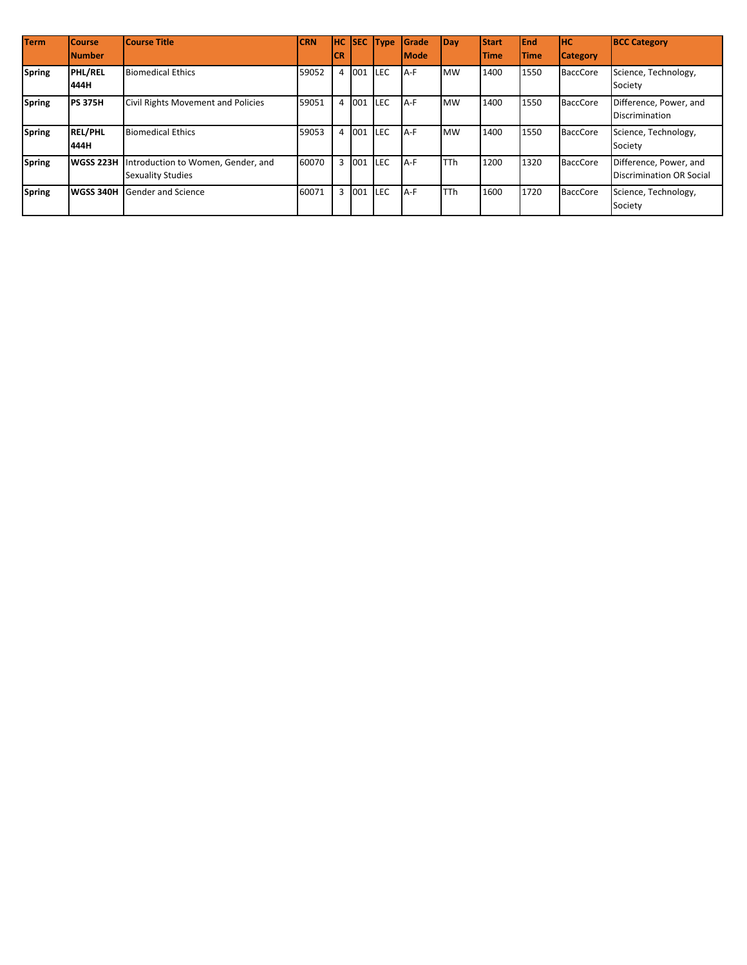| <b>Term</b>   | <b>Course</b><br><b>INumber</b> | Course Title                                                   | <b>CRN</b> | IHC.<br>ICR |       | <b>SEC</b> Type | <b>S</b> rade<br><b>Mode</b> | Day        | <b>Start</b><br><b>Time</b> | <b>End</b><br><b>Time</b> | <b>HC</b><br><b>Category</b> | <b>BCC Category</b>                                       |
|---------------|---------------------------------|----------------------------------------------------------------|------------|-------------|-------|-----------------|------------------------------|------------|-----------------------------|---------------------------|------------------------------|-----------------------------------------------------------|
| <b>Spring</b> | <b>PHL/REL</b><br>444H          | <b>Biomedical Ethics</b>                                       | 59052      |             | 4 001 | <b>LEC</b>      | A-F                          | <b>MW</b>  | 1400                        | 1550                      | <b>BaccCore</b>              | Science, Technology,<br>Society                           |
| <b>Spring</b> | <b>PS 375H</b>                  | Civil Rights Movement and Policies                             | 59051      |             | 4 001 | <b>LEC</b>      | A-F                          | <b>MW</b>  | 1400                        | 1550                      | <b>BaccCore</b>              | Difference, Power, and<br><b>Discrimination</b>           |
| <b>Spring</b> | <b>REL/PHL</b><br>444H          | <b>Biomedical Ethics</b>                                       | 59053      |             | 4 001 | <b>LEC</b>      | A-F                          | <b>MW</b>  | 1400                        | 1550                      | <b>BaccCore</b>              | Science, Technology,<br>Society                           |
| <b>Spring</b> | <b>WGSS 223H</b>                | Introduction to Women, Gender, and<br><b>Sexuality Studies</b> | 60070      |             | 3 001 | <b>LEC</b>      | A-F                          | <b>TTh</b> | 1200                        | 1320                      | <b>BaccCore</b>              | Difference, Power, and<br><b>Discrimination OR Social</b> |
| <b>Spring</b> | <b>WGSS 340H</b>                | Gender and Science                                             | 60071      |             | 3 001 | <b>LEC</b>      | A-F                          | <b>TTh</b> | 1600                        | 1720                      | <b>BaccCore</b>              | Science, Technology,<br>Society                           |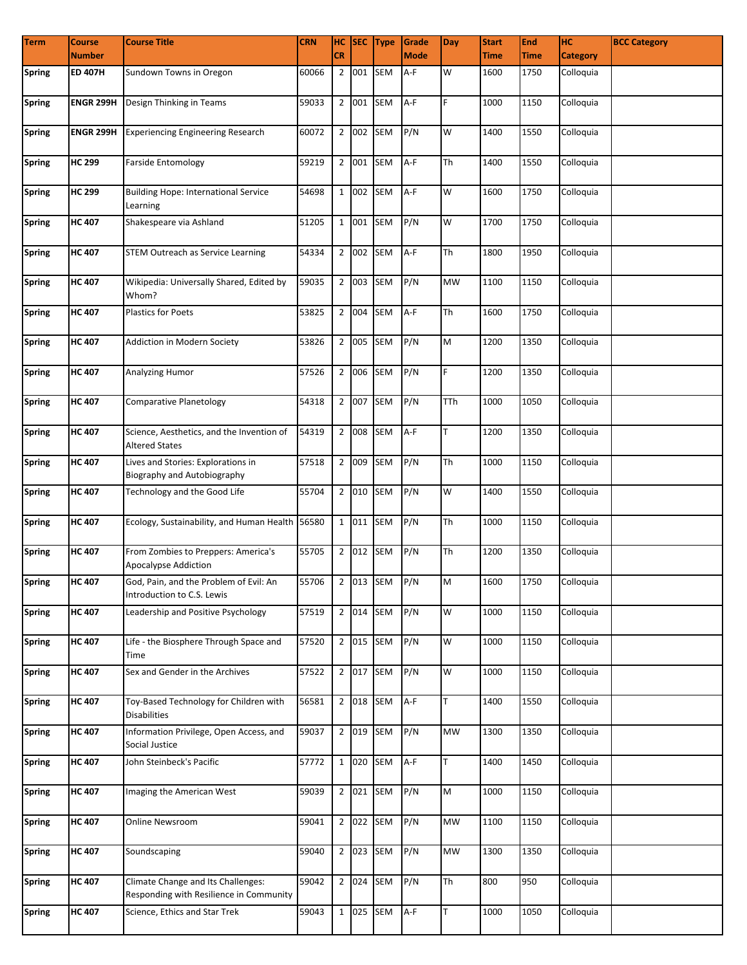| <b>Term</b>   | <b>Course</b>    | <b>Course Title</b>                                                           | <b>CRN</b>          |                |           | HC SEC Type | Grade       | Day                                                                                                        | <b>Start</b> | End         | <b>HC</b>       | <b>BCC Category</b> |
|---------------|------------------|-------------------------------------------------------------------------------|---------------------|----------------|-----------|-------------|-------------|------------------------------------------------------------------------------------------------------------|--------------|-------------|-----------------|---------------------|
|               | <b>Number</b>    |                                                                               |                     | <b>CR</b>      |           |             | <b>Mode</b> |                                                                                                            | <b>Time</b>  | <b>Time</b> | <b>Category</b> |                     |
| Spring        | <b>ED 407H</b>   | Sundown Towns in Oregon                                                       | 60066               | $\overline{2}$ | 001       | <b>SEM</b>  | A-F         | W                                                                                                          | 1600         | 1750        | Colloquia       |                     |
| Spring        | <b>ENGR 299H</b> | Design Thinking in Teams                                                      | 59033               |                | 2 001 SEM |             | $A-F$       | F.                                                                                                         | 1000         | 1150        | Colloquia       |                     |
| <b>Spring</b> | <b>ENGR 299H</b> | <b>Experiencing Engineering Research</b>                                      | 60072               |                | 2 002 SEM |             | P/N         | W                                                                                                          | 1400         | 1550        | Colloquia       |                     |
| <b>Spring</b> | <b>HC 299</b>    | <b>Farside Entomology</b>                                                     | 59219               |                |           | 2 001 SEM   | A-F         | Th                                                                                                         | 1400         | 1550        | Colloquia       |                     |
| <b>Spring</b> | <b>HC 299</b>    | <b>Building Hope: International Service</b><br>Learning                       | 54698               |                | 1 002     | <b>SEM</b>  | A-F         | W                                                                                                          | 1600         | 1750        | Colloquia       |                     |
| <b>Spring</b> | <b>HC 407</b>    | Shakespeare via Ashland                                                       | 51205               |                | 1 001     | <b>SEM</b>  | P/N         | W                                                                                                          | 1700         | 1750        | Colloquia       |                     |
| <b>Spring</b> | <b>HC 407</b>    | <b>STEM Outreach as Service Learning</b>                                      | 54334               |                | 2 002 SEM |             | $A-F$       | Th                                                                                                         | 1800         | 1950        | Colloquia       |                     |
| <b>Spring</b> | <b>HC 407</b>    | Wikipedia: Universally Shared, Edited by<br>Whom?                             | 59035               |                | 2 003 SEM |             | P/N         | <b>MW</b>                                                                                                  | 1100         | 1150        | Colloquia       |                     |
| <b>Spring</b> | <b>HC 407</b>    | <b>Plastics for Poets</b>                                                     | 53825               |                | 2 004 SEM |             | $A-F$       | Th                                                                                                         | 1600         | 1750        | Colloquia       |                     |
| <b>Spring</b> | <b>HC 407</b>    | <b>Addiction in Modern Society</b>                                            | 53826               |                | 2 005 SEM |             | P/N         | M                                                                                                          | 1200         | 1350        | Colloquia       |                     |
| <b>Spring</b> | <b>HC 407</b>    | Analyzing Humor                                                               | 57526               |                | 2 006 SEM |             | P/N         | E.                                                                                                         | 1200         | 1350        | Colloquia       |                     |
| Spring        | <b>HC 407</b>    | Comparative Planetology                                                       | 54318               |                | 2 007 SEM |             | P/N         | TTh                                                                                                        | 1000         | 1050        | Colloquia       |                     |
| <b>Spring</b> | <b>HC 407</b>    | Science, Aesthetics, and the Invention of<br><b>Altered States</b>            | 54319               |                |           | 2 008 SEM   | $A-F$       | T                                                                                                          | 1200         | 1350        | Colloquia       |                     |
| <b>Spring</b> | <b>HC 407</b>    | Lives and Stories: Explorations in<br>Biography and Autobiography             | 57518               |                | 2 009     | <b>SEM</b>  | P/N         | Th                                                                                                         | 1000         | 1150        | Colloquia       |                     |
| <b>Spring</b> | <b>HC 407</b>    | Technology and the Good Life                                                  | 55704               |                | 2 010 SEM |             | P/N         | W                                                                                                          | 1400         | 1550        | Colloquia       |                     |
| <b>Spring</b> | <b>HC 407</b>    | Ecology, Sustainability, and Human Health 56580                               |                     |                | 1 011 SEM |             | P/N         | Th                                                                                                         | 1000         | 1150        | Colloquia       |                     |
| Spring        | <b>HC 407</b>    | From Zombies to Preppers: America's<br>Apocalypse Addiction                   | 55705               |                | 2 012 SEM |             | P/N         | Th                                                                                                         | 1200         | 1350        | Colloquia       |                     |
| <b>Spring</b> | <b>HC 407</b>    | God, Pain, and the Problem of Evil: An<br>Introduction to C.S. Lewis          | 55706 2 013 SEM P/N |                |           |             |             | $\mathsf{M}% _{T}=\mathsf{M}_{T}\!\left( a,b\right) ,\ \mathsf{M}_{T}=\mathsf{M}_{T}\!\left( a,b\right) ,$ | 1600         | 1750        | Colloquia       |                     |
| <b>Spring</b> | <b>HC 407</b>    | Leadership and Positive Psychology                                            | 57519               |                |           | 2 014 SEM   | P/N         | W                                                                                                          | 1000         | 1150        | Colloquia       |                     |
| <b>Spring</b> | <b>HC 407</b>    | Life - the Biosphere Through Space and<br>Time                                | 57520               |                |           | 2 015 SEM   | P/N         | W                                                                                                          | 1000         | 1150        | Colloquia       |                     |
| <b>Spring</b> | <b>HC 407</b>    | Sex and Gender in the Archives                                                | 57522               |                |           | 2 017 SEM   | P/N         | W                                                                                                          | 1000         | 1150        | Colloquia       |                     |
| <b>Spring</b> | <b>HC 407</b>    | Toy-Based Technology for Children with<br><b>Disabilities</b>                 | 56581               |                |           | 2 018 SEM   | A-F         | T.                                                                                                         | 1400         | 1550        | Colloquia       |                     |
| <b>Spring</b> | <b>HC 407</b>    | Information Privilege, Open Access, and<br>Social Justice                     | 59037               |                |           | 2 019 SEM   | P/N         | <b>MW</b>                                                                                                  | 1300         | 1350        | Colloquia       |                     |
| <b>Spring</b> | <b>HC 407</b>    | John Steinbeck's Pacific                                                      | 57772               |                |           | 1 020 SEM   | A-F         | T                                                                                                          | 1400         | 1450        | Colloquia       |                     |
| <b>Spring</b> | <b>HC 407</b>    | Imaging the American West                                                     | 59039               |                | 2 021 SEM |             | P/N         | M                                                                                                          | 1000         | 1150        | Colloquia       |                     |
| <b>Spring</b> | <b>HC 407</b>    | Online Newsroom                                                               | 59041               |                | 2 022     | <b>SEM</b>  | P/N         | <b>MW</b>                                                                                                  | 1100         | 1150        | Colloquia       |                     |
| <b>Spring</b> | <b>HC 407</b>    | Soundscaping                                                                  | 59040               |                | 2 023 SEM |             | P/N         | <b>MW</b>                                                                                                  | 1300         | 1350        | Colloquia       |                     |
| <b>Spring</b> | <b>HC 407</b>    | Climate Change and Its Challenges:<br>Responding with Resilience in Community | 59042               |                | 2 024 SEM |             | P/N         | Th                                                                                                         | 800          | 950         | Colloquia       |                     |
| <b>Spring</b> | <b>HC 407</b>    | Science, Ethics and Star Trek                                                 | 59043               |                |           | 1 025 SEM   | $A-F$       | T                                                                                                          | 1000         | 1050        | Colloquia       |                     |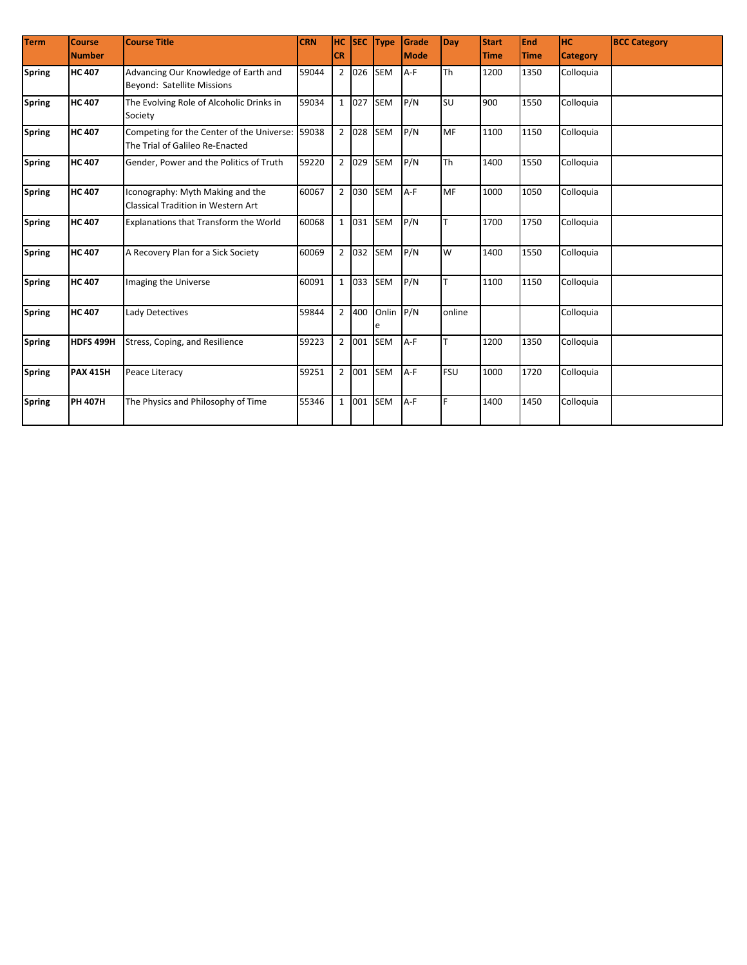| <b>Term</b>   | <b>Course</b>    | <b>Course Title</b>                                                          | <b>CRN</b> | <b>HC</b>      | <b>SEC</b> | <b>Type</b> | Grade        | Day        | <b>Start</b> | End         | Інс             | <b>BCC Category</b> |
|---------------|------------------|------------------------------------------------------------------------------|------------|----------------|------------|-------------|--------------|------------|--------------|-------------|-----------------|---------------------|
|               | <b>Number</b>    |                                                                              |            | <b>CR</b>      |            |             | <b>IMode</b> |            | <b>Time</b>  | <b>Time</b> | <b>Category</b> |                     |
| <b>Spring</b> | <b>HC 407</b>    | Advancing Our Knowledge of Earth and                                         | 59044      |                |            | 2 026 SEM   | $A-F$        | Th         | 1200         | 1350        | Colloquia       |                     |
|               |                  | Beyond: Satellite Missions                                                   |            |                |            |             |              |            |              |             |                 |                     |
| <b>Spring</b> | <b>HC 407</b>    | The Evolving Role of Alcoholic Drinks in                                     | 59034      |                | 1 027      | <b>SEM</b>  | P/N          | <b>SU</b>  | 900          | 1550        | Colloquia       |                     |
|               |                  | Society                                                                      |            |                |            |             |              |            |              |             |                 |                     |
| <b>Spring</b> | <b>HC 407</b>    | Competing for the Center of the Universe:<br>The Trial of Galileo Re-Enacted | 59038      |                | 2 028      | <b>SEM</b>  | P/N          | MF         | 1100         | 1150        | Colloquia       |                     |
| <b>Spring</b> | <b>HC 407</b>    | Gender, Power and the Politics of Truth                                      | 59220      |                | 2 029      | <b>SEM</b>  | P/N          | Th         | 1400         | 1550        | Colloquia       |                     |
| <b>Spring</b> | <b>HC 407</b>    | Iconography: Myth Making and the                                             | 60067      |                | 2 030      | <b>SEM</b>  | $A-F$        | MF         | 1000         | 1050        | Colloquia       |                     |
|               |                  | <b>Classical Tradition in Western Art</b>                                    |            |                |            |             |              |            |              |             |                 |                     |
| <b>Spring</b> | <b>HC 407</b>    | <b>Explanations that Transform the World</b>                                 | 60068      |                |            | 1 031 SEM   | P/N          |            | 1700         | 1750        | Colloquia       |                     |
| <b>Spring</b> | <b>HC 407</b>    | A Recovery Plan for a Sick Society                                           | 60069      |                |            | 2 032 SEM   | P/N          | W          | 1400         | 1550        | Colloquia       |                     |
| <b>Spring</b> | <b>HC 407</b>    | Imaging the Universe                                                         | 60091      |                |            | 1 033 SEM   | P/N          | T.         | 1100         | 1150        | Colloquia       |                     |
| <b>Spring</b> | <b>HC 407</b>    | Lady Detectives                                                              | 59844      |                | 2 400      | Onlin       | P/N          | online     |              |             | Colloquia       |                     |
| <b>Spring</b> | <b>HDFS 499H</b> | Stress, Coping, and Resilience                                               | 59223      |                | 2 001      | <b>SEM</b>  | $A-F$        | T          | 1200         | 1350        | Colloquia       |                     |
| <b>Spring</b> | <b>PAX 415H</b>  | Peace Literacy                                                               | 59251      | $\overline{2}$ | 001        | <b>SEM</b>  | A-F          | <b>FSU</b> | 1000         | 1720        | Colloquia       |                     |
| <b>Spring</b> | <b>PH 407H</b>   | The Physics and Philosophy of Time                                           | 55346      | $\mathbf{1}$   | 001        | <b>SEM</b>  | $A-F$        | F          | 1400         | 1450        | Colloquia       |                     |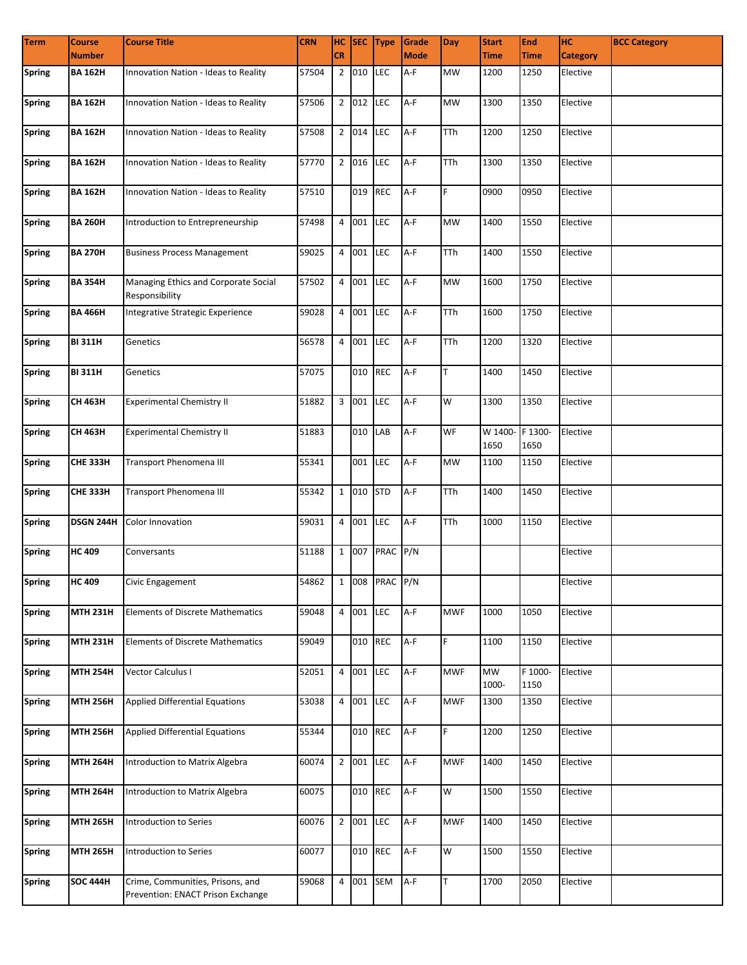| <b>Term</b>   | <b>Course</b>   | <b>Course Title</b>                                                   | <b>CRN</b> | <b>CR</b> |           | HC SEC Type    | Grade<br><b>Mode</b> | <b>Day</b> | <b>Start</b>            | <b>End</b>      | HC.             | <b>BCC Category</b> |
|---------------|-----------------|-----------------------------------------------------------------------|------------|-----------|-----------|----------------|----------------------|------------|-------------------------|-----------------|-----------------|---------------------|
|               | <b>Number</b>   |                                                                       |            |           |           |                |                      |            | <b>Time</b>             | <b>Time</b>     | <b>Category</b> |                     |
| Spring        | <b>BA 162H</b>  | Innovation Nation - Ideas to Reality                                  | 57504      |           | 2 010     | LEC            | A-F                  | <b>MW</b>  | 1200                    | 1250            | Elective        |                     |
| <b>Spring</b> | <b>BA 162H</b>  | Innovation Nation - Ideas to Reality                                  | 57506      |           | 2 012     | LEC            | $A-F$                | <b>MW</b>  | 1300                    | 1350            | Elective        |                     |
| <b>Spring</b> | <b>BA 162H</b>  | Innovation Nation - Ideas to Reality                                  | 57508      |           | 2 014     | <b>LEC</b>     | A-F                  | TTh        | 1200                    | 1250            | Elective        |                     |
| <b>Spring</b> | <b>BA 162H</b>  | Innovation Nation - Ideas to Reality                                  | 57770      |           | 2 016 LEC |                | $A-F$                | <b>TTh</b> | 1300                    | 1350            | Elective        |                     |
| <b>Spring</b> | <b>BA 162H</b>  | Innovation Nation - Ideas to Reality                                  | 57510      |           | 019 REC   |                | A-F                  | F.         | 0900                    | 0950            | Elective        |                     |
| <b>Spring</b> | <b>BA 260H</b>  | Introduction to Entrepreneurship                                      | 57498      |           | 4 001     | LEC            | $A-F$                | <b>MW</b>  | 1400                    | 1550            | Elective        |                     |
| <b>Spring</b> | <b>BA 270H</b>  | <b>Business Process Management</b>                                    | 59025      |           | 4 001     | LEC            | A-F                  | <b>TTh</b> | 1400                    | 1550            | Elective        |                     |
| <b>Spring</b> | <b>BA 354H</b>  | Managing Ethics and Corporate Social<br>Responsibility                | 57502      |           | 4 001     | LEC            | A-F                  | <b>MW</b>  | 1600                    | 1750            | Elective        |                     |
| <b>Spring</b> | <b>BA 466H</b>  | Integrative Strategic Experience                                      | 59028      |           | 4 001     | LEC            | A-F                  | <b>TTh</b> | 1600                    | 1750            | Elective        |                     |
| <b>Spring</b> | <b>BI 311H</b>  | Genetics                                                              | 56578      |           | 4 001     | LEC            | A-F                  | <b>TTh</b> | 1200                    | 1320            | Elective        |                     |
| <b>Spring</b> | <b>BI 311H</b>  | Genetics                                                              | 57075      |           | 010 REC   |                | A-F                  | T          | 1400                    | 1450            | Elective        |                     |
| <b>Spring</b> | CH 463H         | <b>Experimental Chemistry II</b>                                      | 51882      |           | 3 001     | LEC            | A-F                  | W          | 1300                    | 1350            | Elective        |                     |
| <b>Spring</b> | CH 463H         | <b>Experimental Chemistry II</b>                                      | 51883      |           | 010       | LAB            | A-F                  | WF         | W 1400- F 1300-<br>1650 | 1650            | Elective        |                     |
| <b>Spring</b> | <b>CHE 333H</b> | Transport Phenomena III                                               | 55341      |           | 001       | LEC            | A-F                  | <b>MW</b>  | 1100                    | 1150            | Elective        |                     |
| <b>Spring</b> | <b>CHE 333H</b> | Transport Phenomena III                                               | 55342      |           | 1 010     | <b>STD</b>     | A-F                  | <b>TTh</b> | 1400                    | 1450            | Elective        |                     |
| <b>Spring</b> | DSGN 244H       | Color Innovation                                                      | 59031      |           | 4 001     | LEC            | A-F                  | <b>TTh</b> | 1000                    | 1150            | Elective        |                     |
| <b>Spring</b> | <b>HC 409</b>   | Conversants                                                           | 51188      |           | 1 007     | PRAC P/N       |                      |            |                         |                 | Elective        |                     |
| Spring        | <b>HC 409</b>   | Civic Engagement                                                      | 54862      |           |           | 1 008 PRAC P/N |                      |            |                         |                 | Elective        |                     |
| <b>Spring</b> | <b>MTH 231H</b> | <b>Elements of Discrete Mathematics</b>                               | 59048      |           | 4 001     | <b>LEC</b>     | A-F                  | <b>MWF</b> | 1000                    | 1050            | Elective        |                     |
| <b>Spring</b> | <b>MTH 231H</b> | <b>Elements of Discrete Mathematics</b>                               | 59049      |           | 010       | <b>REC</b>     | A-F                  | F          | 1100                    | 1150            | Elective        |                     |
| <b>Spring</b> | <b>MTH 254H</b> | Vector Calculus I                                                     | 52051      |           | 4 001     | LEC            | $A-F$                | <b>MWF</b> | <b>MW</b><br>1000-      | F 1000-<br>1150 | Elective        |                     |
| <b>Spring</b> | <b>MTH 256H</b> | <b>Applied Differential Equations</b>                                 | 53038      |           | 4 001     | LEC            | A-F                  | <b>MWF</b> | 1300                    | 1350            | Elective        |                     |
| <b>Spring</b> | <b>MTH 256H</b> | <b>Applied Differential Equations</b>                                 | 55344      |           | 010 REC   |                | $A-F$                | F          | 1200                    | 1250            | Elective        |                     |
| <b>Spring</b> | <b>MTH 264H</b> | Introduction to Matrix Algebra                                        | 60074      |           | 2 001     | LEC            | $A-F$                | <b>MWF</b> | 1400                    | 1450            | Elective        |                     |
| <b>Spring</b> | <b>MTH 264H</b> | Introduction to Matrix Algebra                                        | 60075      |           | 010 REC   |                | $A-F$                | W          | 1500                    | 1550            | Elective        |                     |
| <b>Spring</b> | <b>MTH 265H</b> | Introduction to Series                                                | 60076      |           | 2 001     | <b>LEC</b>     | A-F                  | <b>MWF</b> | 1400                    | 1450            | Elective        |                     |
| <b>Spring</b> | <b>MTH 265H</b> | Introduction to Series                                                | 60077      |           | 010 REC   |                | $A-F$                | W          | 1500                    | 1550            | Elective        |                     |
| <b>Spring</b> | <b>SOC 444H</b> | Crime, Communities, Prisons, and<br>Prevention: ENACT Prison Exchange | 59068      | 4         | 001       | <b>SEM</b>     | $A-F$                | T.         | 1700                    | 2050            | Elective        |                     |